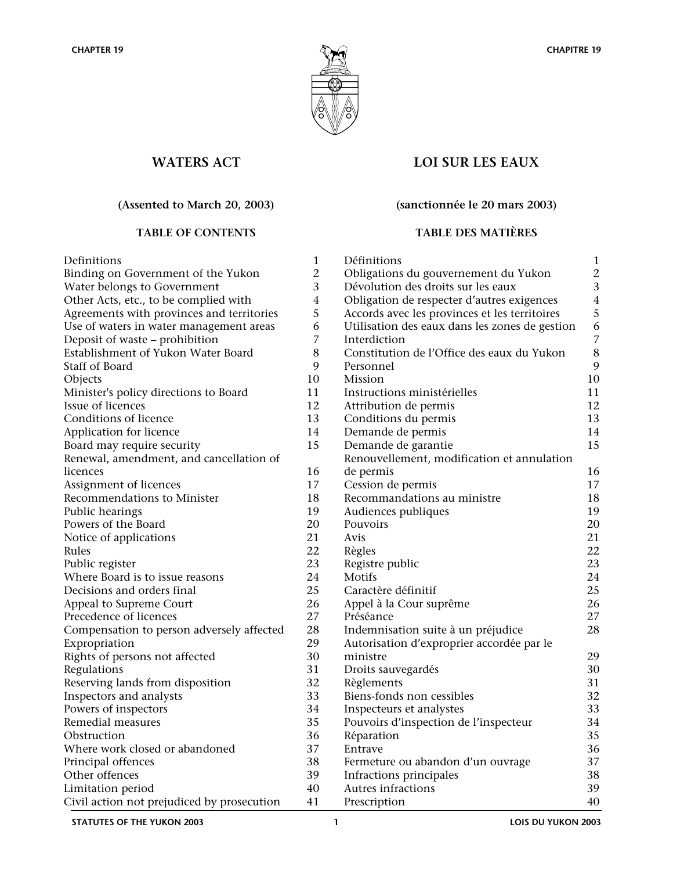

# **WATERS ACT**

# **(Assented to March 20, 2003)**

| Definitions                                | 1              |
|--------------------------------------------|----------------|
| Binding on Government of the Yukon         | $\overline{2}$ |
| Water belongs to Government                | 3              |
| Other Acts, etc., to be complied with      | $\overline{4}$ |
| Agreements with provinces and territories  | 5              |
| Use of waters in water management areas    | 6              |
| Deposit of waste - prohibition             | 7              |
| Establishment of Yukon Water Board         | 8              |
| Staff of Board                             | 9              |
| Objects                                    | 10             |
| Minister's policy directions to Board      | 11             |
| Issue of licences                          | 12             |
| Conditions of licence                      | 13             |
| Application for licence                    | 14             |
| Board may require security                 | 15             |
| Renewal, amendment, and cancellation of    |                |
| licences                                   | 16             |
| Assignment of licences                     | 17             |
| Recommendations to Minister                | 18             |
| Public hearings                            | 19             |
| Powers of the Board                        | 20             |
| Notice of applications                     | 21             |
| Rules                                      | 22             |
| Public register                            | 23             |
| Where Board is to issue reasons            | 24             |
| Decisions and orders final                 | 25             |
| Appeal to Supreme Court                    | 26             |
| Precedence of licences                     | 27             |
| Compensation to person adversely affected  | 28             |
| Expropriation                              | 29             |
| Rights of persons not affected             | 30             |
| Regulations                                | 31             |
| Reserving lands from disposition           | 32             |
| Inspectors and analysts                    | 33             |
| Powers of inspectors                       | 34             |
| Remedial measures                          | 35             |
| Obstruction                                | 36             |
| Where work closed or abandoned             | 37             |
| Principal offences                         | 38             |
| Other offences                             | 39             |
| Limitation period                          | 40             |
| Civil action not prejudiced by prosecution | 41             |

# **LOI SUR LES EAUX**

## **(sanctionnée le 20 mars 2003)**

# **TABLE OF CONTENTS TABLE DES MATIÈRES**

|                          | Définitions                                    | 1              |
|--------------------------|------------------------------------------------|----------------|
|                          | Obligations du gouvernement du Yukon           | $\overline{c}$ |
| S                        | Dévolution des droits sur les eaux             | 3              |
|                          | Obligation de respecter d'autres exigences     | $\overline{4}$ |
| 5<br>5                   | Accords avec les provinces et les territoires  | 5              |
|                          | Utilisation des eaux dans les zones de gestion | 6              |
| 7                        | Interdiction                                   | $\overline{7}$ |
| š                        | Constitution de l'Office des eaux du Yukon     | 8              |
|                          | Personnel                                      | 9              |
| )                        | Mission                                        | 10             |
|                          | Instructions ministérielles                    | 11             |
| )<br>}                   | Attribution de permis                          | 12             |
|                          | Conditions du permis                           | 13             |
|                          | Demande de permis                              | 14             |
|                          | Demande de garantie                            | 15             |
|                          | Renouvellement, modification et annulation     |                |
| 5                        | de permis                                      | 16             |
| 7                        | Cession de permis                              | 17             |
| }                        | Recommandations au ministre                    | 18             |
| )                        | Audiences publiques                            | 19             |
| $\mathbf )$              | Pouvoirs                                       | 20             |
|                          | Avis                                           | 21             |
| $\overline{\phantom{a}}$ | Règles                                         | 22             |
| $\mathbf{\hat{5}}$       | Registre public                                | 23             |
|                          | Motifs                                         | 24             |
| 5                        | Caractère définitif                            | 25             |
| 5                        | Appel à la Cour suprême                        | 26             |
| 7                        | Préséance                                      | 27             |
|                          | Indemnisation suite à un préjudice             | 28             |
| )                        | Autorisation d'exproprier accordée par le      |                |
| $\mathbf )$              | ministre                                       | 29             |
|                          | Droits sauvegardés                             | 30             |
| $\overline{\phantom{a}}$ | Règlements                                     | 31             |
| }                        | Biens-fonds non cessibles                      | 32             |
|                          | Inspecteurs et analystes                       | 33             |
| 5                        | Pouvoirs d'inspection de l'inspecteur          | 34             |
| 5                        | Réparation                                     | 35             |
|                          | Entrave                                        | 36             |
|                          | Fermeture ou abandon d'un ouvrage              | 37             |
| )                        | Infractions principales                        | 38             |
| $\mathcal Y$             | Autres infractions                             | 39             |
|                          | Prescription                                   | 40             |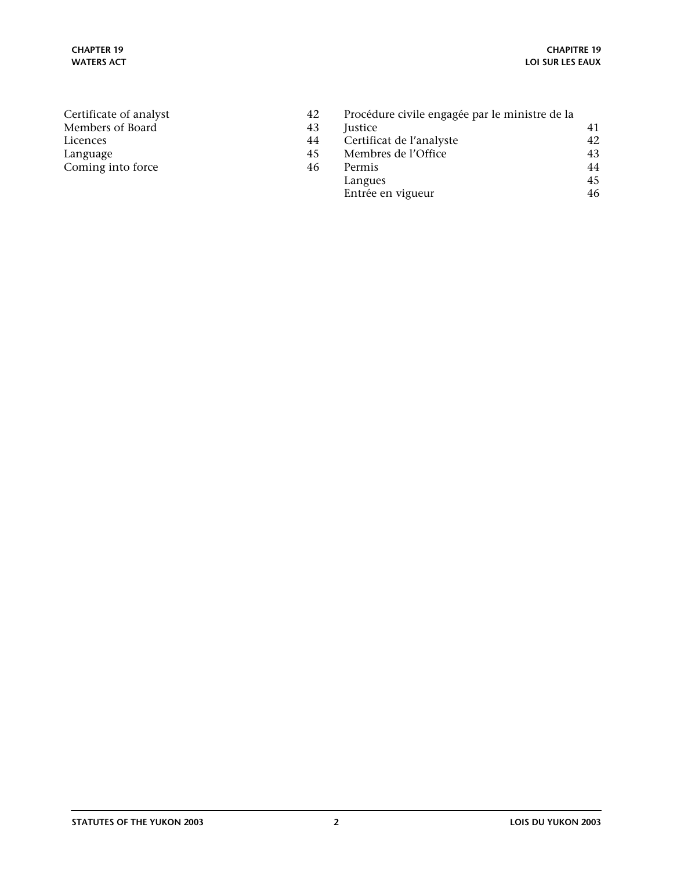| Certificate of analyst | 42 | Procédure civile engagée par le ministre de la |    |
|------------------------|----|------------------------------------------------|----|
| Members of Board       | 43 | <i>lustice</i>                                 | 41 |
| Licences               | 44 | Certificat de l'analyste                       | 42 |
| Language               | 45 | Membres de l'Office                            | 43 |
| Coming into force      | 46 | Permis                                         | 44 |
|                        |    | Langues                                        | 45 |
|                        |    | Entrée en vigueur                              | 46 |
|                        |    |                                                |    |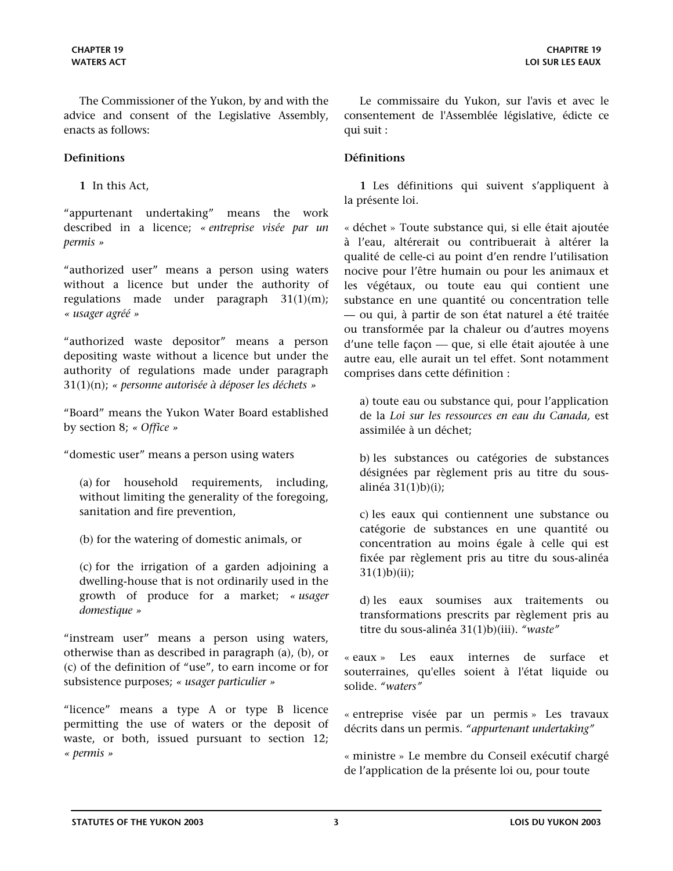<span id="page-2-0"></span>The Commissioner of the Yukon, by and with the advice and consent of the Legislative Assembly, enacts as follows:

### **Definitions Définitions**

**1** In this Act,

"appurtenant undertaking" means the work described in a licence; *« entreprise visée par un permis »*

"authorized user" means a person using waters without a licence but under the authority of regulations made under paragraph 31(1)(m); *« usager agréé »*

"authorized waste depositor" means a person depositing waste without a licence but under the authority of regulations made under paragraph 31(1)(n); *« personne autorisée à déposer les déchets »*

"Board" means the Yukon Water Board established by section 8; *« Office »*

"domestic user" means a person using waters

(a) for household requirements, including, without limiting the generality of the foregoing, sanitation and fire prevention,

(b) for the watering of domestic animals, or

(c) for the irrigation of a garden adjoining a dwelling-house that is not ordinarily used in the growth of produce for a market; *« usager domestique »*

"instream user" means a person using waters, otherwise than as described in paragraph (a), (b), or (c) of the definition of "use", to earn income or for subsistence purposes; *« usager particulier »*

"licence" means a type A or type B licence permitting the use of waters or the deposit of waste, or both, issued pursuant to section 12; *« permis »*

Le commissaire du Yukon, sur l'avis et avec le consentement de l'Assemblée législative, édicte ce qui suit :

**1** Les définitions qui suivent s'appliquent à la présente loi.

« déchet » Toute substance qui, si elle était ajoutée à l'eau, altérerait ou contribuerait à altérer la qualité de celle-ci au point d'en rendre l'utilisation nocive pour l'être humain ou pour les animaux et les végétaux, ou toute eau qui contient une substance en une quantité ou concentration telle — ou qui, à partir de son état naturel a été traitée ou transformée par la chaleur ou d'autres moyens d'une telle façon — que, si elle était ajoutée à une autre eau, elle aurait un tel effet. Sont notamment comprises dans cette définition :

a) toute eau ou substance qui, pour l'application de la *Loi sur les ressources en eau du Canada,* est assimilée à un déchet;

b) les substances ou catégories de substances désignées par règlement pris au titre du sousalinéa 31(1)b)(i);

c) les eaux qui contiennent une substance ou catégorie de substances en une quantité ou concentration au moins égale à celle qui est fixée par règlement pris au titre du sous-alinéa  $31(1)b$  $(i)$ ;

d) les eaux soumises aux traitements ou transformations prescrits par règlement pris au titre du sous-alinéa 31(1)b)(iii). *"waste"*

« eaux » Les eaux internes de surface et souterraines, qu'elles soient à l'état liquide ou solide. *"waters"*

« entreprise visée par un permis » Les travaux décrits dans un permis. *"appurtenant undertaking"*

« ministre » Le membre du Conseil exécutif chargé de l'application de la présente loi ou, pour toute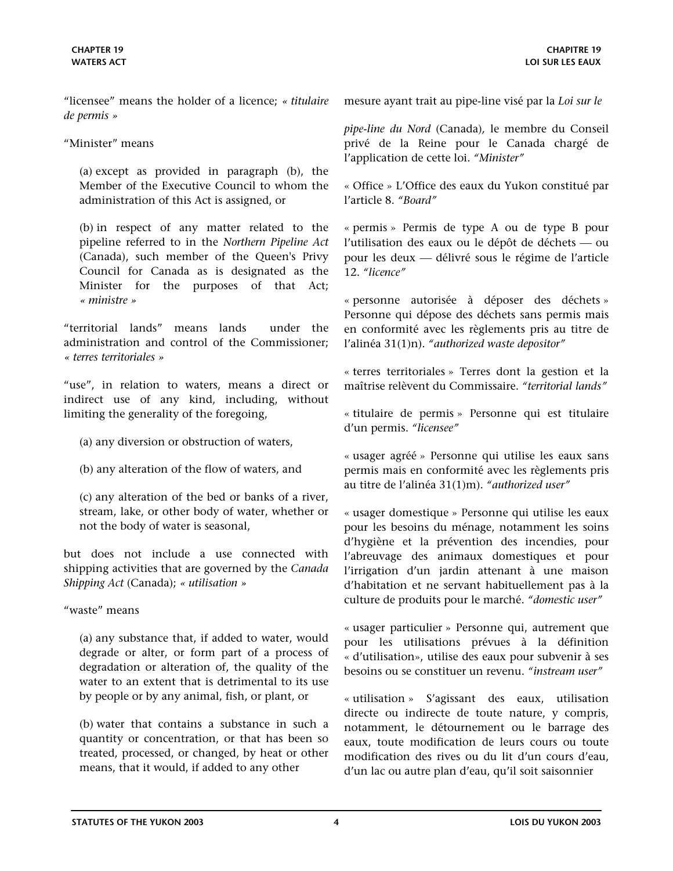"licensee" means the holder of a licence; *« titulaire de permis »*

"Minister" means

(a) except as provided in paragraph (b), the Member of the Executive Council to whom the administration of this Act is assigned, or

(b) in respect of any matter related to the pipeline referred to in the *Northern Pipeline Act*  (Canada), such member of the Queen's Privy Council for Canada as is designated as the Minister for the purposes of that Act; *« ministre »*

"territorial lands" means lands under the administration and control of the Commissioner; *« terres territoriales »*

"use", in relation to waters, means a direct or indirect use of any kind, including, without limiting the generality of the foregoing,

- (a) any diversion or obstruction of waters,
- (b) any alteration of the flow of waters, and

(c) any alteration of the bed or banks of a river, stream, lake, or other body of water, whether or not the body of water is seasonal,

but does not include a use connected with shipping activities that are governed by the *Canada Shipping Act* (Canada); *« utilisation »*

"waste" means

(a) any substance that, if added to water, would degrade or alter, or form part of a process of degradation or alteration of, the quality of the water to an extent that is detrimental to its use by people or by any animal, fish, or plant, or

(b) water that contains a substance in such a quantity or concentration, or that has been so treated, processed, or changed, by heat or other means, that it would, if added to any other

mesure ayant trait au pipe-line visé par la *Loi sur le* 

*pipe-line du Nord* (Canada)*,* le membre du Conseil privé de la Reine pour le Canada chargé de l'application de cette loi. *"Minister"*

« Office » L'Office des eaux du Yukon constitué par l'article 8. *"Board"*

« permis » Permis de type A ou de type B pour l'utilisation des eaux ou le dépôt de déchets — ou pour les deux délivré sous le régime de l'article 12. *"licence"*

« personne autorisée à déposer des déchets » Personne qui dépose des déchets sans permis mais en conformité avec les règlements pris au titre de l'alinéa 31(1)n). *"authorized waste depositor"*

« terres territoriales » Terres dont la gestion et la maîtrise relèvent du Commissaire. *"territorial lands"*

« titulaire de permis » Personne qui est titulaire d'un permis. *"licensee"*

« usager agréé » Personne qui utilise les eaux sans permis mais en conformité avec les règlements pris au titre de l'alinéa 31(1)m). *"authorized user"*

« usager domestique » Personne qui utilise les eaux pour les besoins du ménage, notamment les soins d'hygiène et la prévention des incendies, pour l'abreuvage des animaux domestiques et pour l'irrigation d'un jardin attenant à une maison d'habitation et ne servant habituellement pas à la culture de produits pour le marché. *"domestic user"*

« usager particulier » Personne qui, autrement que pour les utilisations prévues à la définition « d'utilisation», utilise des eaux pour subvenir à ses besoins ou se constituer un revenu. *"instream user"*

« utilisation » S'agissant des eaux, utilisation directe ou indirecte de toute nature, y compris, notamment, le détournement ou le barrage des eaux, toute modification de leurs cours ou toute modification des rives ou du lit d'un cours d'eau, d'un lac ou autre plan d'eau, qu'il soit saisonnier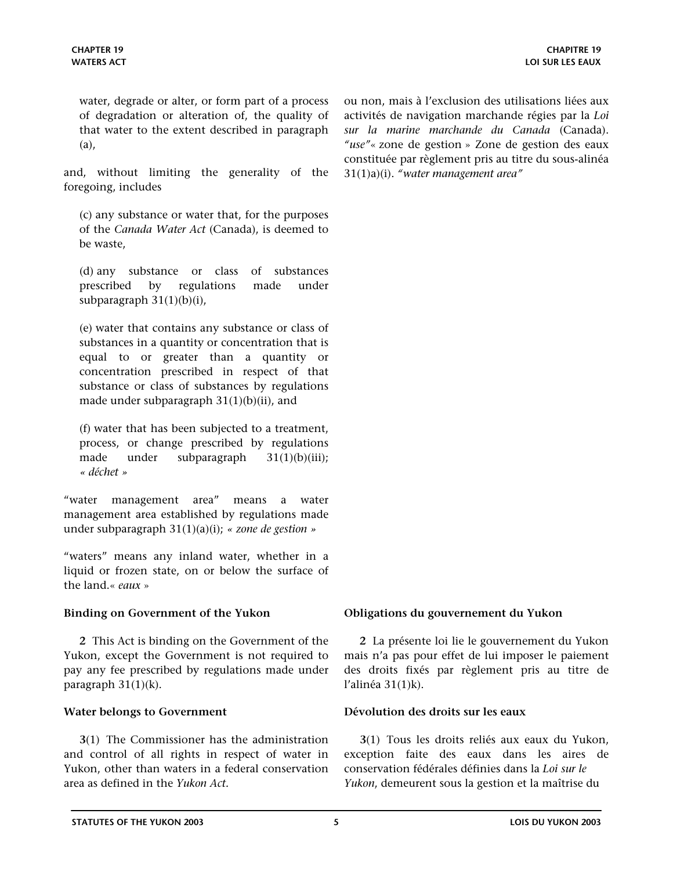<span id="page-4-0"></span>water, degrade or alter, or form part of a process of degradation or alteration of, the quality of that water to the extent described in paragraph (a),

and, without limiting the generality of the foregoing, includes

(c) any substance or water that, for the purposes of the *Canada Water Act* (Canada), is deemed to be waste,

(d) any substance or class of substances prescribed by regulations made under subparagraph 31(1)(b)(i),

(e) water that contains any substance or class of substances in a quantity or concentration that is equal to or greater than a quantity or concentration prescribed in respect of that substance or class of substances by regulations made under subparagraph 31(1)(b)(ii), and

(f) water that has been subjected to a treatment, process, or change prescribed by regulations made under subparagraph 31(1)(b)(iii); *« déchet »*

"water management area" means a water management area established by regulations made under subparagraph 31(1)(a)(i); *« zone de gestion »*

"waters" means any inland water, whether in a liquid or frozen state, on or below the surface of the land.« *eaux* »

**2** This Act is binding on the Government of the Yukon, except the Government is not required to pay any fee prescribed by regulations made under paragraph 31(1)(k).

**3**(1) The Commissioner has the administration and control of all rights in respect of water in Yukon, other than waters in a federal conservation area as defined in the *Yukon Act.*

ou non, mais à l'exclusion des utilisations liées aux activités de navigation marchande régies par la *Loi sur la marine marchande du Canada* (Canada). *"use"*« zone de gestion » Zone de gestion des eaux constituée par règlement pris au titre du sous-alinéa 31(1)a)(i). *"water management area"*

### **Binding on Government of the Yukon Obligations du gouvernement du Yukon**

**2** La présente loi lie le gouvernement du Yukon mais n'a pas pour effet de lui imposer le paiement des droits fixés par règlement pris au titre de l'alinéa 31(1)k).

### **Water belongs to Government Dévolution des droits sur les eaux**

**3**(1) Tous les droits reliés aux eaux du Yukon, exception faite des eaux dans les aires de conservation fédérales définies dans la *Loi sur le Yukon*, demeurent sous la gestion et la maîtrise du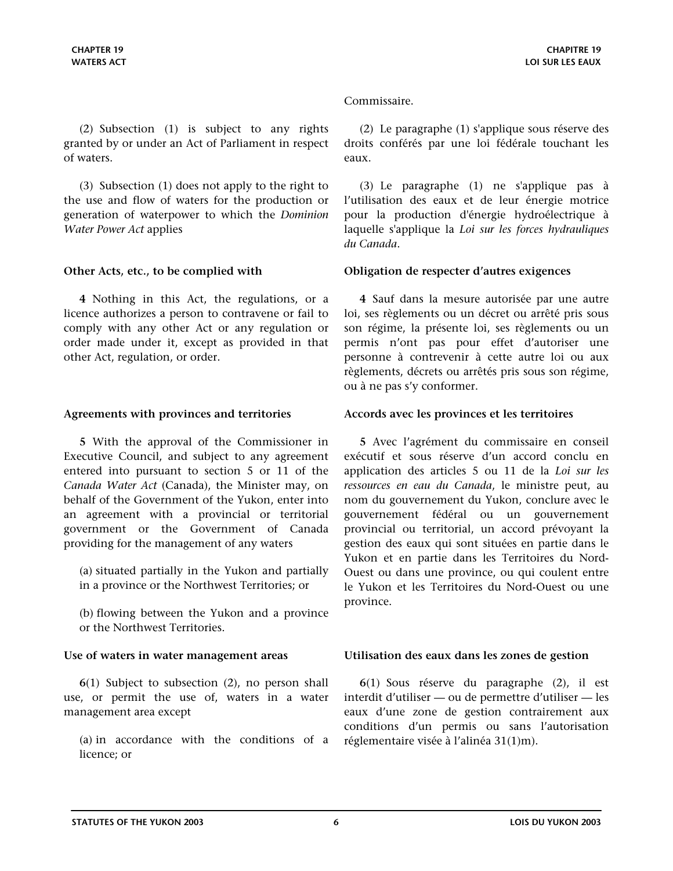<span id="page-5-0"></span>(2) Subsection (1) is subject to any rights granted by or under an Act of Parliament in respect of waters.

(3) Subsection (1) does not apply to the right to the use and flow of waters for the production or generation of waterpower to which the *Dominion Water Power Act* applies

**4** Nothing in this Act, the regulations, or a licence authorizes a person to contravene or fail to comply with any other Act or any regulation or order made under it, except as provided in that other Act, regulation, or order.

**5** With the approval of the Commissioner in Executive Council, and subject to any agreement entered into pursuant to section 5 or 11 of the *Canada Water Act* (Canada), the Minister may, on behalf of the Government of the Yukon, enter into an agreement with a provincial or territorial government or the Government of Canada providing for the management of any waters

(a) situated partially in the Yukon and partially in a province or the Northwest Territories; or

(b) flowing between the Yukon and a province or the Northwest Territories.

**6**(1) Subject to subsection (2), no person shall use, or permit the use of, waters in a water management area except

(a) in accordance with the conditions of a licence; or

### Commissaire.

(2) Le paragraphe (1) s'applique sous réserve des droits conférés par une loi fédérale touchant les eaux.

(3) Le paragraphe (1) ne s'applique pas à l'utilisation des eaux et de leur énergie motrice pour la production d'énergie hydroélectrique à laquelle s'applique la *Loi sur les forces hydrauliques du Canada*.

### **Other Acts, etc., to be complied with Obligation de respecter d'autres exigences**

**4** Sauf dans la mesure autorisée par une autre loi, ses règlements ou un décret ou arrêté pris sous son régime, la présente loi, ses règlements ou un permis n'ont pas pour effet d'autoriser une personne à contrevenir à cette autre loi ou aux règlements, décrets ou arrêtés pris sous son régime, ou à ne pas s'y conformer.

### **Agreements with provinces and territories Accords avec les provinces et les territoires**

**5** Avec l'agrément du commissaire en conseil exécutif et sous réserve d'un accord conclu en application des articles 5 ou 11 de la *Loi sur les ressources en eau du Canada*, le ministre peut, au nom du gouvernement du Yukon, conclure avec le gouvernement fédéral ou un gouvernement provincial ou territorial, un accord prévoyant la gestion des eaux qui sont situées en partie dans le Yukon et en partie dans les Territoires du Nord-Ouest ou dans une province, ou qui coulent entre le Yukon et les Territoires du Nord-Ouest ou une province.

### **Use of waters in water management areas Utilisation des eaux dans les zones de gestion**

**6**(1) Sous réserve du paragraphe (2), il est interdit d'utiliser — ou de permettre d'utiliser — les eaux d'une zone de gestion contrairement aux conditions d'un permis ou sans l'autorisation réglementaire visée à l'alinéa 31(1)m).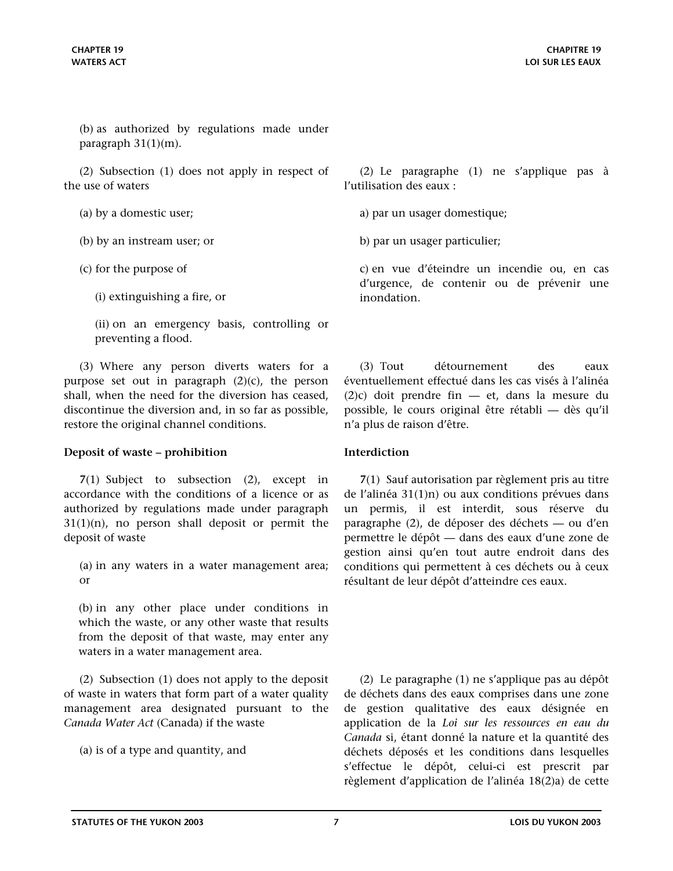<span id="page-6-0"></span>(b) as authorized by regulations made under paragraph 31(1)(m).

(2) Subsection (1) does not apply in respect of the use of waters

(a) by a domestic user;

(b) by an instream user; or

(c) for the purpose of

(i) extinguishing a fire, or

(ii) on an emergency basis, controlling or preventing a flood.

(3) Where any person diverts waters for a purpose set out in paragraph  $(2)(c)$ , the person shall, when the need for the diversion has ceased, discontinue the diversion and, in so far as possible, restore the original channel conditions.

### **Deposit of waste – prohibition Interdiction**

**7**(1) Subject to subsection (2), except in accordance with the conditions of a licence or as authorized by regulations made under paragraph  $31(1)(n)$ , no person shall deposit or permit the deposit of waste

(a) in any waters in a water management area; or

(b) in any other place under conditions in which the waste, or any other waste that results from the deposit of that waste, may enter any waters in a water management area.

(2) Subsection (1) does not apply to the deposit of waste in waters that form part of a water quality management area designated pursuant to the *Canada Water Act* (Canada) if the waste

(a) is of a type and quantity, and

(2) Le paragraphe (1) ne s'applique pas à l'utilisation des eaux :

a) par un usager domestique;

b) par un usager particulier;

c) en vue d'éteindre un incendie ou, en cas d'urgence, de contenir ou de prévenir une inondation.

(3) Tout détournement des eaux éventuellement effectué dans les cas visés à l'alinéa (2)c) doit prendre fin — et, dans la mesure du possible, le cours original être rétabli — dès qu'il n'a plus de raison d'être.

**7**(1) Sauf autorisation par règlement pris au titre de l'alinéa 31(1)n) ou aux conditions prévues dans un permis, il est interdit, sous réserve du paragraphe (2), de déposer des déchets — ou d'en permettre le dépôt — dans des eaux d'une zone de gestion ainsi qu'en tout autre endroit dans des conditions qui permettent à ces déchets ou à ceux résultant de leur dépôt d'atteindre ces eaux.

(2) Le paragraphe (1) ne s'applique pas au dépôt de déchets dans des eaux comprises dans une zone de gestion qualitative des eaux désignée en application de la *Loi sur les ressources en eau du Canada* si, étant donné la nature et la quantité des déchets déposés et les conditions dans lesquelles s'effectue le dépôt, celui-ci est prescrit par règlement d'application de l'alinéa 18(2)a) de cette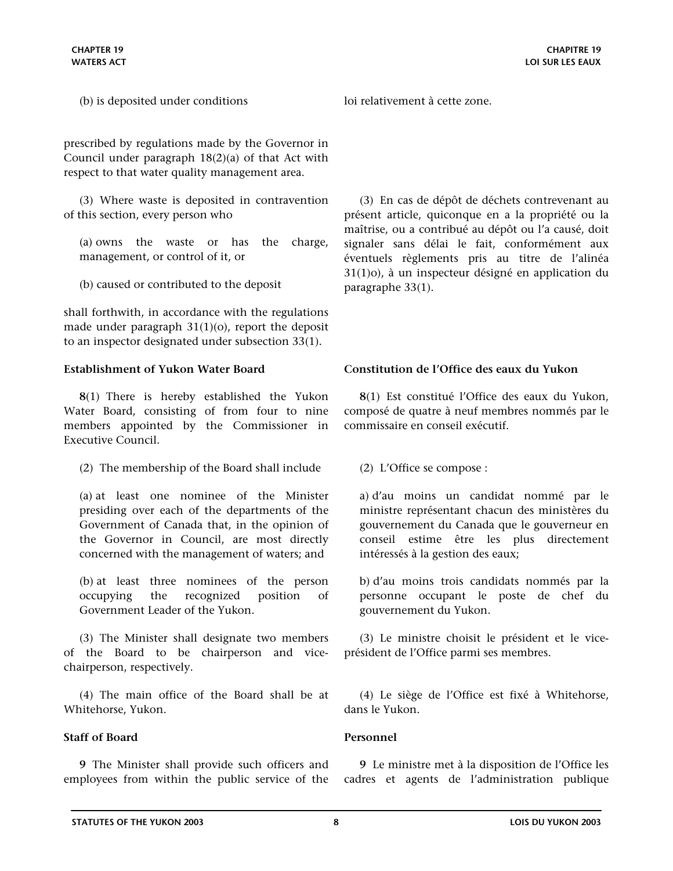<span id="page-7-0"></span>prescribed by regulations made by the Governor in Council under paragraph 18(2)(a) of that Act with respect to that water quality management area.

(3) Where waste is deposited in contravention of this section, every person who

(a) owns the waste or has the charge, management, or control of it, or

(b) caused or contributed to the deposit

shall forthwith, in accordance with the regulations made under paragraph 31(1)(o), report the deposit to an inspector designated under subsection 33(1).

**8**(1) There is hereby established the Yukon Water Board, consisting of from four to nine members appointed by the Commissioner in Executive Council.

(2) The membership of the Board shall include

(a) at least one nominee of the Minister presiding over each of the departments of the Government of Canada that, in the opinion of the Governor in Council, are most directly concerned with the management of waters; and

(b) at least three nominees of the person occupying the recognized position of Government Leader of the Yukon.

(3) The Minister shall designate two members of the Board to be chairperson and vicechairperson, respectively.

(4) The main office of the Board shall be at Whitehorse, Yukon.

### **Staff of Board Personnel**

**9** The Minister shall provide such officers and employees from within the public service of the

loi relativement à cette zone.

(3) En cas de dépôt de déchets contrevenant au présent article, quiconque en a la propriété ou la maîtrise, ou a contribué au dépôt ou l'a causé, doit signaler sans délai le fait, conformément aux éventuels règlements pris au titre de l'alinéa 31(1)o), à un inspecteur désigné en application du paragraphe 33(1).

# **Establishment of Yukon Water Board Constitution de l'Office des eaux du Yukon**

**8**(1) Est constitué l'Office des eaux du Yukon, composé de quatre à neuf membres nommés par le commissaire en conseil exécutif.

(2) L'Office se compose :

a) d'au moins un candidat nommé par le ministre représentant chacun des ministères du gouvernement du Canada que le gouverneur en conseil estime être les plus directement intéressés à la gestion des eaux;

b) d'au moins trois candidats nommés par la personne occupant le poste de chef du gouvernement du Yukon.

(3) Le ministre choisit le président et le viceprésident de l'Office parmi ses membres.

(4) Le siège de l'Office est fixé à Whitehorse, dans le Yukon.

**9** Le ministre met à la disposition de l'Office les cadres et agents de l'administration publique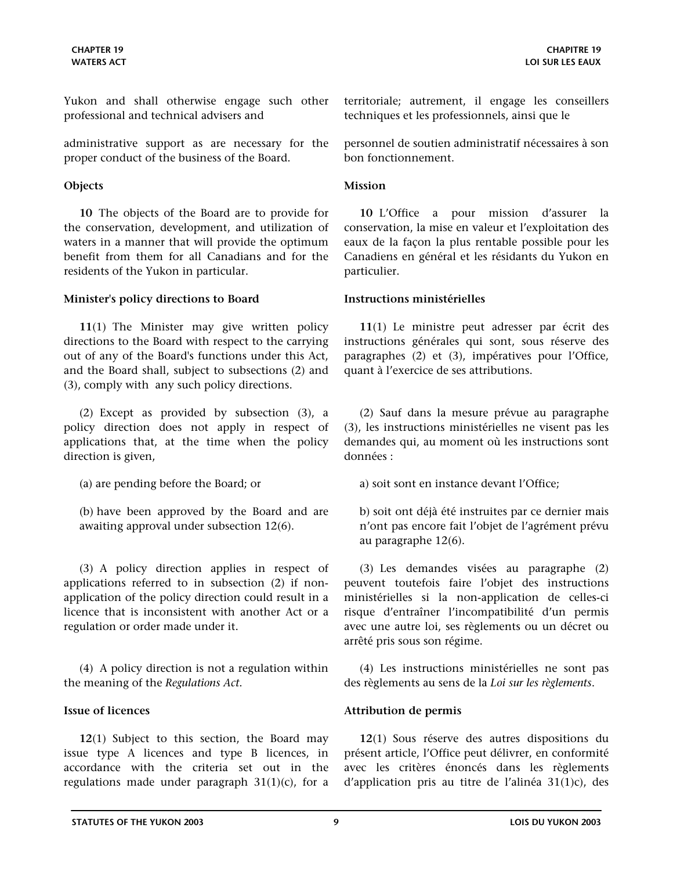<span id="page-8-0"></span>Yukon and shall otherwise engage such other professional and technical advisers and

administrative support as are necessary for the proper conduct of the business of the Board.

### **Objects Mission**

**10** The objects of the Board are to provide for the conservation, development, and utilization of waters in a manner that will provide the optimum benefit from them for all Canadians and for the residents of the Yukon in particular.

### **Minister's policy directions to Board Instructions ministérielles**

**11**(1) The Minister may give written policy directions to the Board with respect to the carrying out of any of the Board's functions under this Act, and the Board shall, subject to subsections (2) and (3), comply with any such policy directions.

(2) Except as provided by subsection (3), a policy direction does not apply in respect of applications that, at the time when the policy direction is given,

(a) are pending before the Board; or

(b) have been approved by the Board and are awaiting approval under subsection 12(6).

(3) A policy direction applies in respect of applications referred to in subsection (2) if nonapplication of the policy direction could result in a licence that is inconsistent with another Act or a regulation or order made under it.

(4) A policy direction is not a regulation within the meaning of the *Regulations Act*.

**12**(1) Subject to this section, the Board may issue type A licences and type B licences, in accordance with the criteria set out in the regulations made under paragraph  $31(1)(c)$ , for a territoriale; autrement, il engage les conseillers techniques et les professionnels, ainsi que le

personnel de soutien administratif nécessaires à son bon fonctionnement.

**10** L'Office a pour mission d'assurer la conservation, la mise en valeur et l'exploitation des eaux de la façon la plus rentable possible pour les Canadiens en général et les résidants du Yukon en particulier.

**11**(1) Le ministre peut adresser par écrit des instructions générales qui sont, sous réserve des paragraphes (2) et (3), impératives pour l'Office, quant à l'exercice de ses attributions.

(2) Sauf dans la mesure prévue au paragraphe (3), les instructions ministérielles ne visent pas les demandes qui, au moment où les instructions sont données :

a) soit sont en instance devant l'Office;

b) soit ont déjà été instruites par ce dernier mais n'ont pas encore fait l'objet de l'agrément prévu au paragraphe 12(6).

(3) Les demandes visées au paragraphe (2) peuvent toutefois faire l'objet des instructions ministérielles si la non-application de celles-ci risque d'entraîner l'incompatibilité d'un permis avec une autre loi, ses règlements ou un décret ou arrêté pris sous son régime.

(4) Les instructions ministérielles ne sont pas des règlements au sens de la *Loi sur les règlements*.

### **Issue of licences Attribution de permis**

**12**(1) Sous réserve des autres dispositions du présent article, l'Office peut délivrer, en conformité avec les critères énoncés dans les règlements d'application pris au titre de l'alinéa 31(1)c), des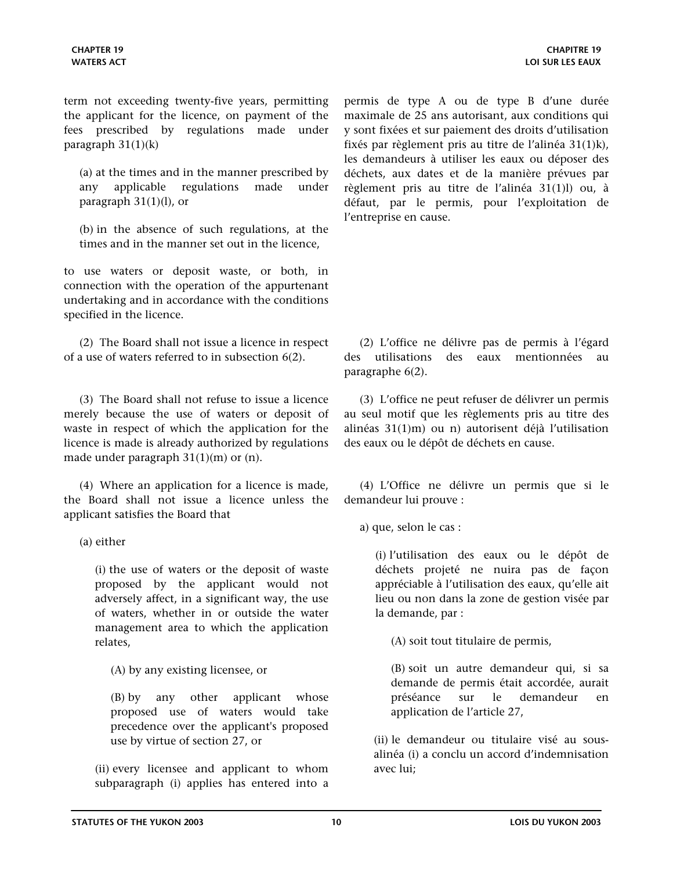term not exceeding twenty-five years, permitting the applicant for the licence, on payment of the fees prescribed by regulations made under paragraph  $31(1)(k)$ 

(a) at the times and in the manner prescribed by any applicable regulations made under paragraph  $31(1)(l)$ , or

(b) in the absence of such regulations, at the times and in the manner set out in the licence,

to use waters or deposit waste, or both, in connection with the operation of the appurtenant undertaking and in accordance with the conditions specified in the licence.

(2) The Board shall not issue a licence in respect of a use of waters referred to in subsection 6(2).

(3) The Board shall not refuse to issue a licence merely because the use of waters or deposit of waste in respect of which the application for the licence is made is already authorized by regulations made under paragraph 31(1)(m) or (n).

(4) Where an application for a licence is made, the Board shall not issue a licence unless the applicant satisfies the Board that

(a) either

(i) the use of waters or the deposit of waste proposed by the applicant would not adversely affect, in a significant way, the use of waters, whether in or outside the water management area to which the application relates,

(A) by any existing licensee, or

(B) by any other applicant whose proposed use of waters would take precedence over the applicant's proposed use by virtue of section 27, or

(ii) every licensee and applicant to whom subparagraph (i) applies has entered into a permis de type A ou de type B d'une durée maximale de 25 ans autorisant, aux conditions qui y sont fixées et sur paiement des droits d'utilisation fixés par règlement pris au titre de l'alinéa 31(1)k), les demandeurs à utiliser les eaux ou déposer des déchets, aux dates et de la manière prévues par règlement pris au titre de l'alinéa 31(1)l) ou, à défaut, par le permis, pour l'exploitation de l'entreprise en cause.

(2) L'office ne délivre pas de permis à l'égard des utilisations des eaux mentionnées au paragraphe 6(2).

(3) L'office ne peut refuser de délivrer un permis au seul motif que les règlements pris au titre des alinéas 31(1)m) ou n) autorisent déjà l'utilisation des eaux ou le dépôt de déchets en cause.

(4) L'Office ne délivre un permis que si le demandeur lui prouve :

a) que, selon le cas :

(i) l'utilisation des eaux ou le dépôt de déchets projeté ne nuira pas de façon appréciable à l'utilisation des eaux, qu'elle ait lieu ou non dans la zone de gestion visée par la demande, par :

(A) soit tout titulaire de permis,

(B) soit un autre demandeur qui, si sa demande de permis était accordée, aurait préséance sur le demandeur en application de l'article 27,

(ii) le demandeur ou titulaire visé au sousalinéa (i) a conclu un accord d'indemnisation avec lui;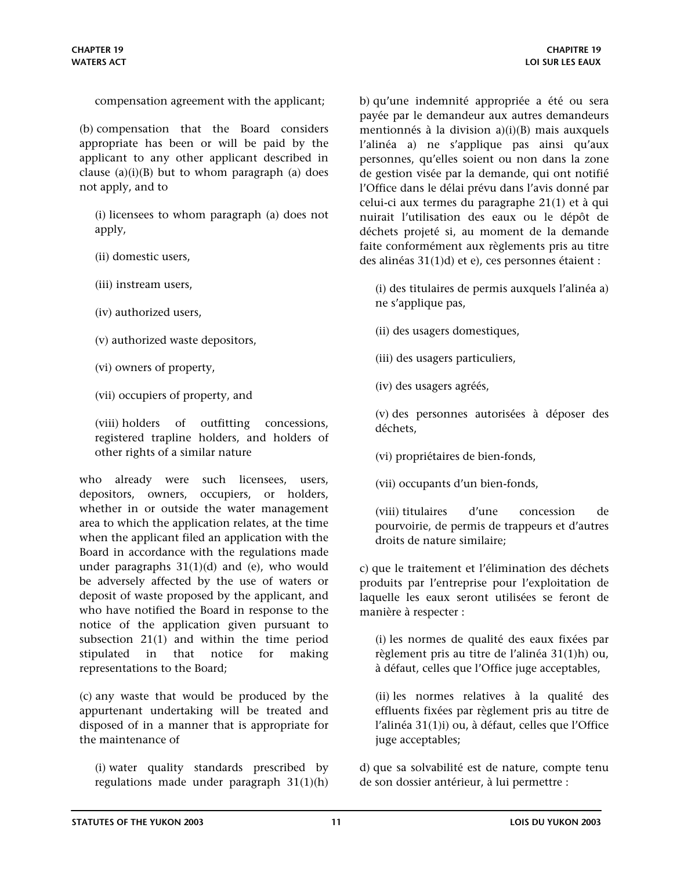compensation agreement with the applicant;

(b) compensation that the Board considers appropriate has been or will be paid by the applicant to any other applicant described in clause  $(a)(i)(B)$  but to whom paragraph  $(a)$  does not apply, and to

(i) licensees to whom paragraph (a) does not apply,

- (ii) domestic users,
- (iii) instream users,
- (iv) authorized users,
- (v) authorized waste depositors,
- (vi) owners of property,
- (vii) occupiers of property, and

(viii) holders of outfitting concessions, registered trapline holders, and holders of other rights of a similar nature

who already were such licensees, users, depositors, owners, occupiers, or holders, whether in or outside the water management area to which the application relates, at the time when the applicant filed an application with the Board in accordance with the regulations made under paragraphs  $31(1)(d)$  and (e), who would be adversely affected by the use of waters or deposit of waste proposed by the applicant, and who have notified the Board in response to the notice of the application given pursuant to subsection 21(1) and within the time period stipulated in that notice for making representations to the Board;

(c) any waste that would be produced by the appurtenant undertaking will be treated and disposed of in a manner that is appropriate for the maintenance of

(i) water quality standards prescribed by regulations made under paragraph 31(1)(h)

b) qu'une indemnité appropriée a été ou sera payée par le demandeur aux autres demandeurs mentionnés à la division a)(i)(B) mais auxquels l'alinéa a) ne s'applique pas ainsi qu'aux personnes, qu'elles soient ou non dans la zone de gestion visée par la demande, qui ont notifié l'Office dans le délai prévu dans l'avis donné par celui-ci aux termes du paragraphe 21(1) et à qui nuirait l'utilisation des eaux ou le dépôt de déchets projeté si, au moment de la demande faite conformément aux règlements pris au titre des alinéas 31(1)d) et e), ces personnes étaient :

(i) des titulaires de permis auxquels l'alinéa a) ne s'applique pas,

(ii) des usagers domestiques,

(iii) des usagers particuliers,

(iv) des usagers agréés,

(v) des personnes autorisées à déposer des déchets,

(vi) propriétaires de bien-fonds,

(vii) occupants d'un bien-fonds,

(viii) titulaires d'une concession de pourvoirie, de permis de trappeurs et d'autres droits de nature similaire;

c) que le traitement et l'élimination des déchets produits par l'entreprise pour l'exploitation de laquelle les eaux seront utilisées se feront de manière à respecter :

(i) les normes de qualité des eaux fixées par règlement pris au titre de l'alinéa 31(1)h) ou, à défaut, celles que l'Office juge acceptables,

(ii) les normes relatives à la qualité des effluents fixées par règlement pris au titre de l'alinéa 31(1)i) ou, à défaut, celles que l'Office juge acceptables;

d) que sa solvabilité est de nature, compte tenu de son dossier antérieur, à lui permettre :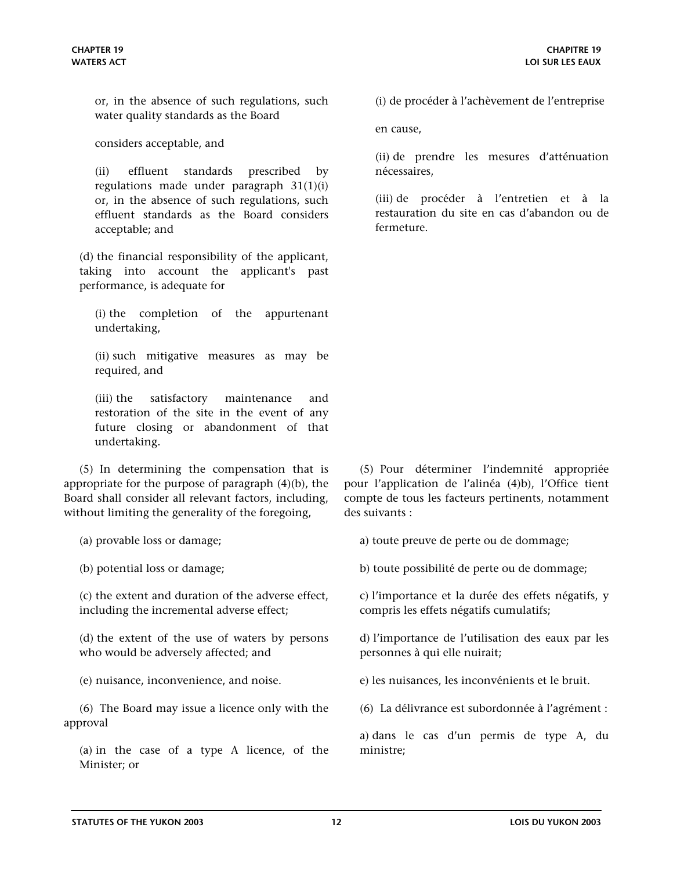or, in the absence of such regulations, such water quality standards as the Board

considers acceptable, and

(ii) effluent standards prescribed by regulations made under paragraph 31(1)(i) or, in the absence of such regulations, such effluent standards as the Board considers acceptable; and

(d) the financial responsibility of the applicant, taking into account the applicant's past performance, is adequate for

(i) the completion of the appurtenant undertaking,

(ii) such mitigative measures as may be required, and

(iii) the satisfactory maintenance and restoration of the site in the event of any future closing or abandonment of that undertaking.

(5) In determining the compensation that is appropriate for the purpose of paragraph (4)(b), the Board shall consider all relevant factors, including, without limiting the generality of the foregoing,

(a) provable loss or damage;

(b) potential loss or damage;

(c) the extent and duration of the adverse effect, including the incremental adverse effect;

(d) the extent of the use of waters by persons who would be adversely affected; and

(e) nuisance, inconvenience, and noise.

(6) The Board may issue a licence only with the approval

(a) in the case of a type A licence, of the Minister; or

(i) de procéder à l'achèvement de l'entreprise

en cause,

(ii) de prendre les mesures d'atténuation nécessaires,

(iii) de procéder à l'entretien et à la restauration du site en cas d'abandon ou de fermeture.

(5) Pour déterminer l'indemnité appropriée pour l'application de l'alinéa (4)b), l'Office tient compte de tous les facteurs pertinents, notamment des suivants :

a) toute preuve de perte ou de dommage;

b) toute possibilité de perte ou de dommage;

c) l'importance et la durée des effets négatifs, y compris les effets négatifs cumulatifs;

d) l'importance de l'utilisation des eaux par les personnes à qui elle nuirait;

e) les nuisances, les inconvénients et le bruit.

(6) La délivrance est subordonnée à l'agrément :

a) dans le cas d'un permis de type A, du ministre;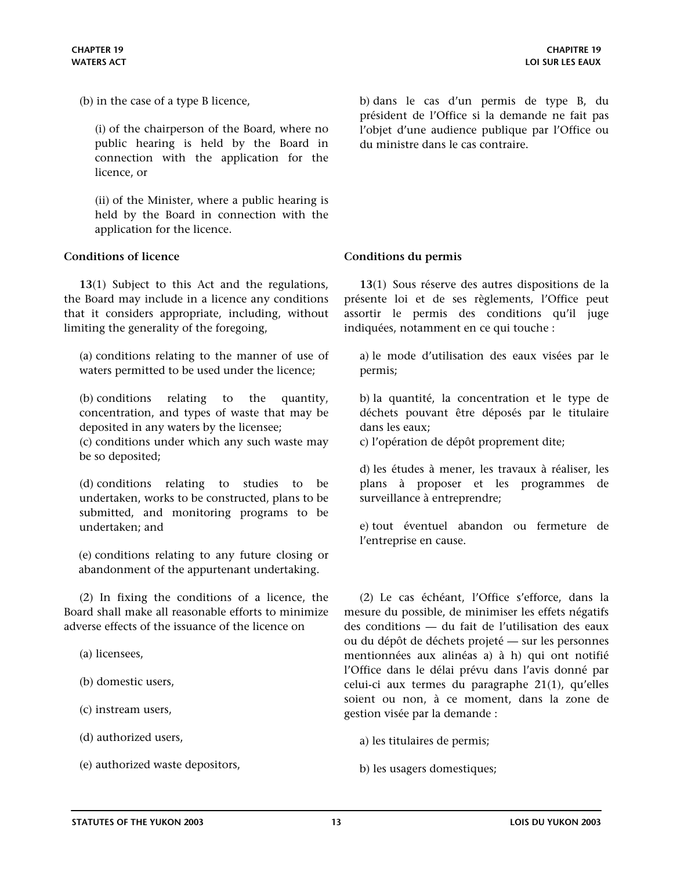<span id="page-12-0"></span>(b) in the case of a type B licence,

(i) of the chairperson of the Board, where no public hearing is held by the Board in connection with the application for the licence, or

(ii) of the Minister, where a public hearing is held by the Board in connection with the application for the licence.

### **Conditions of licence Conditions du permis**

**13**(1) Subject to this Act and the regulations, the Board may include in a licence any conditions that it considers appropriate, including, without limiting the generality of the foregoing,

(a) conditions relating to the manner of use of waters permitted to be used under the licence;

(b) conditions relating to the quantity, concentration, and types of waste that may be deposited in any waters by the licensee;

(c) conditions under which any such waste may be so deposited;

(d) conditions relating to studies to be undertaken, works to be constructed, plans to be submitted, and monitoring programs to be undertaken; and

(e) conditions relating to any future closing or abandonment of the appurtenant undertaking.

(2) In fixing the conditions of a licence, the Board shall make all reasonable efforts to minimize adverse effects of the issuance of the licence on

(a) licensees,

(b) domestic users,

(c) instream users,

(d) authorized users,

(e) authorized waste depositors,

b) dans le cas d'un permis de type B, du président de l'Office si la demande ne fait pas l'objet d'une audience publique par l'Office ou du ministre dans le cas contraire.

**13**(1) Sous réserve des autres dispositions de la présente loi et de ses règlements, l'Office peut assortir le permis des conditions qu'il juge indiquées, notamment en ce qui touche :

a) le mode d'utilisation des eaux visées par le permis;

b) la quantité, la concentration et le type de déchets pouvant être déposés par le titulaire dans les eaux;

c) l'opération de dépôt proprement dite;

d) les études à mener, les travaux à réaliser, les plans à proposer et les programmes de surveillance à entreprendre;

e) tout éventuel abandon ou fermeture de l'entreprise en cause.

(2) Le cas échéant, l'Office s'efforce, dans la mesure du possible, de minimiser les effets négatifs des conditions — du fait de l'utilisation des eaux ou du dépôt de déchets projeté — sur les personnes mentionnées aux alinéas a) à h) qui ont notifié l'Office dans le délai prévu dans l'avis donné par celui-ci aux termes du paragraphe 21(1), qu'elles soient ou non, à ce moment, dans la zone de gestion visée par la demande :

a) les titulaires de permis;

b) les usagers domestiques;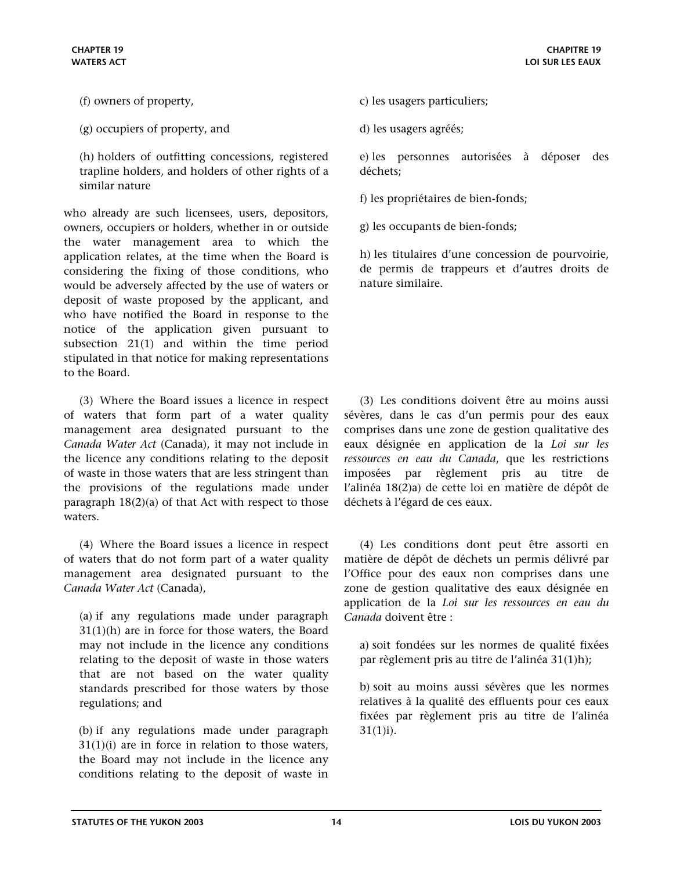- (f) owners of property,
- (g) occupiers of property, and

(h) holders of outfitting concessions, registered trapline holders, and holders of other rights of a similar nature

who already are such licensees, users, depositors, owners, occupiers or holders, whether in or outside the water management area to which the application relates, at the time when the Board is considering the fixing of those conditions, who would be adversely affected by the use of waters or deposit of waste proposed by the applicant, and who have notified the Board in response to the notice of the application given pursuant to subsection 21(1) and within the time period stipulated in that notice for making representations to the Board.

(3) Where the Board issues a licence in respect of waters that form part of a water quality management area designated pursuant to the *Canada Water Act* (Canada), it may not include in the licence any conditions relating to the deposit of waste in those waters that are less stringent than the provisions of the regulations made under paragraph 18(2)(a) of that Act with respect to those waters.

(4) Where the Board issues a licence in respect of waters that do not form part of a water quality management area designated pursuant to the *Canada Water Act* (Canada),

(a) if any regulations made under paragraph 31(1)(h) are in force for those waters, the Board may not include in the licence any conditions relating to the deposit of waste in those waters that are not based on the water quality standards prescribed for those waters by those regulations; and

(b) if any regulations made under paragraph  $31(1)(i)$  are in force in relation to those waters, the Board may not include in the licence any conditions relating to the deposit of waste in

- c) les usagers particuliers;
- d) les usagers agréés;

e) les personnes autorisées à déposer des déchets;

f) les propriétaires de bien-fonds;

g) les occupants de bien-fonds;

h) les titulaires d'une concession de pourvoirie, de permis de trappeurs et d'autres droits de nature similaire.

(3) Les conditions doivent être au moins aussi sévères, dans le cas d'un permis pour des eaux comprises dans une zone de gestion qualitative des eaux désignée en application de la *Loi sur les ressources en eau du Canada*, que les restrictions imposées par règlement pris au titre de l'alinéa 18(2)a) de cette loi en matière de dépôt de déchets à l'égard de ces eaux.

(4) Les conditions dont peut être assorti en matière de dépôt de déchets un permis délivré par l'Office pour des eaux non comprises dans une zone de gestion qualitative des eaux désignée en application de la *Loi sur les ressources en eau du Canada* doivent être :

a) soit fondées sur les normes de qualité fixées par règlement pris au titre de l'alinéa 31(1)h);

b) soit au moins aussi sévères que les normes relatives à la qualité des effluents pour ces eaux fixées par règlement pris au titre de l'alinéa 31(1)i).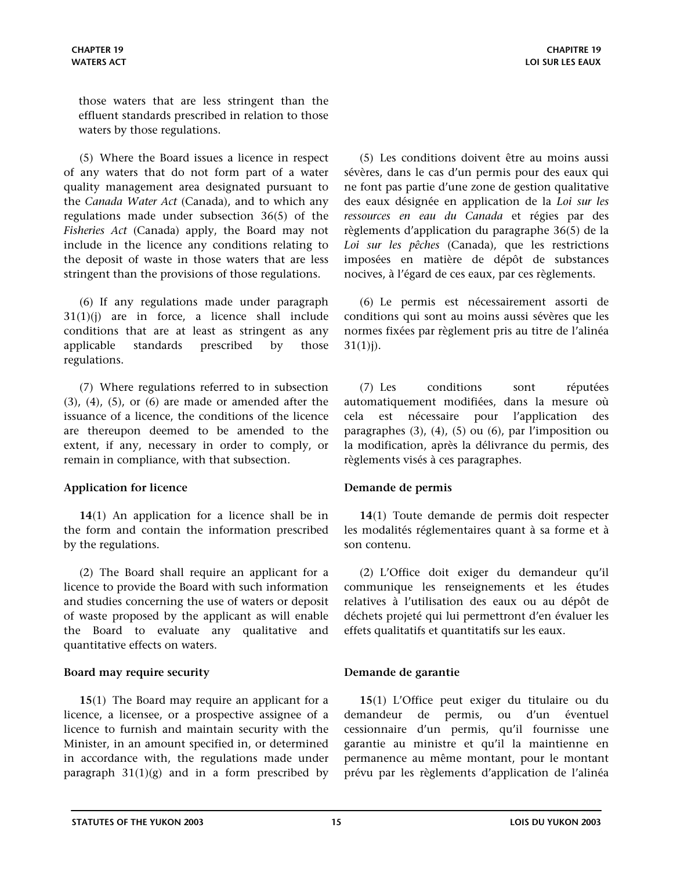<span id="page-14-0"></span>those waters that are less stringent than the effluent standards prescribed in relation to those waters by those regulations.

(5) Where the Board issues a licence in respect of any waters that do not form part of a water quality management area designated pursuant to the *Canada Water Act* (Canada), and to which any regulations made under subsection 36(5) of the *Fisheries Act* (Canada) apply, the Board may not include in the licence any conditions relating to the deposit of waste in those waters that are less stringent than the provisions of those regulations.

(6) If any regulations made under paragraph 31(1)(j) are in force, a licence shall include conditions that are at least as stringent as any applicable standards prescribed by those regulations.

(7) Where regulations referred to in subsection  $(3)$ ,  $(4)$ ,  $(5)$ , or  $(6)$  are made or amended after the issuance of a licence, the conditions of the licence are thereupon deemed to be amended to the extent, if any, necessary in order to comply, or remain in compliance, with that subsection.

### **Application for licence Demande de permis**

**14**(1) An application for a licence shall be in the form and contain the information prescribed by the regulations.

(2) The Board shall require an applicant for a licence to provide the Board with such information and studies concerning the use of waters or deposit of waste proposed by the applicant as will enable the Board to evaluate any qualitative and quantitative effects on waters.

### **Board may require security Demande de garantie**

**15**(1) The Board may require an applicant for a licence, a licensee, or a prospective assignee of a licence to furnish and maintain security with the Minister, in an amount specified in, or determined in accordance with, the regulations made under paragraph  $31(1)(g)$  and in a form prescribed by

(5) Les conditions doivent être au moins aussi sévères, dans le cas d'un permis pour des eaux qui ne font pas partie d'une zone de gestion qualitative des eaux désignée en application de la *Loi sur les ressources en eau du Canada* et régies par des règlements d'application du paragraphe 36(5) de la *Loi sur les pêches* (Canada), que les restrictions imposées en matière de dépôt de substances nocives, à l'égard de ces eaux, par ces règlements.

(6) Le permis est nécessairement assorti de conditions qui sont au moins aussi sévères que les normes fixées par règlement pris au titre de l'alinéa  $31(1)j$ ).

(7) Les conditions sont réputées automatiquement modifiées, dans la mesure où cela est nécessaire pour l'application des paragraphes (3), (4), (5) ou (6), par l'imposition ou la modification, après la délivrance du permis, des règlements visés à ces paragraphes.

**14**(1) Toute demande de permis doit respecter les modalités réglementaires quant à sa forme et à son contenu.

(2) L'Office doit exiger du demandeur qu'il communique les renseignements et les études relatives à l'utilisation des eaux ou au dépôt de déchets projeté qui lui permettront d'en évaluer les effets qualitatifs et quantitatifs sur les eaux.

**15**(1) L'Office peut exiger du titulaire ou du demandeur de permis, ou d'un éventuel cessionnaire d'un permis, qu'il fournisse une garantie au ministre et qu'il la maintienne en permanence au même montant, pour le montant prévu par les règlements d'application de l'alinéa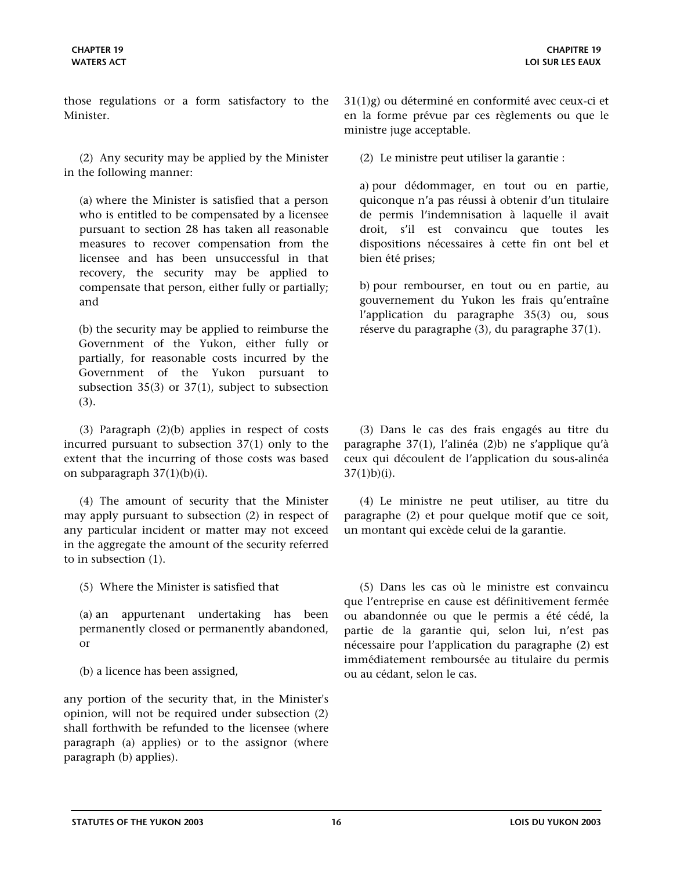those regulations or a form satisfactory to the Minister.

(2) Any security may be applied by the Minister in the following manner:

(a) where the Minister is satisfied that a person who is entitled to be compensated by a licensee pursuant to section 28 has taken all reasonable measures to recover compensation from the licensee and has been unsuccessful in that recovery, the security may be applied to compensate that person, either fully or partially; and

(b) the security may be applied to reimburse the Government of the Yukon, either fully or partially, for reasonable costs incurred by the Government of the Yukon pursuant to subsection  $35(3)$  or  $37(1)$ , subject to subsection (3).

(3) Paragraph (2)(b) applies in respect of costs incurred pursuant to subsection 37(1) only to the extent that the incurring of those costs was based on subparagraph 37(1)(b)(i).

(4) The amount of security that the Minister may apply pursuant to subsection (2) in respect of any particular incident or matter may not exceed in the aggregate the amount of the security referred to in subsection (1).

(5) Where the Minister is satisfied that

(a) an appurtenant undertaking has been permanently closed or permanently abandoned, or

(b) a licence has been assigned,

any portion of the security that, in the Minister's opinion, will not be required under subsection (2) shall forthwith be refunded to the licensee (where paragraph (a) applies) or to the assignor (where paragraph (b) applies).

31(1)g) ou déterminé en conformité avec ceux-ci et en la forme prévue par ces règlements ou que le ministre juge acceptable.

(2) Le ministre peut utiliser la garantie :

a) pour dédommager, en tout ou en partie, quiconque n'a pas réussi à obtenir d'un titulaire de permis l'indemnisation à laquelle il avait droit, s'il est convaincu que toutes les dispositions nécessaires à cette fin ont bel et bien été prises;

b) pour rembourser, en tout ou en partie, au gouvernement du Yukon les frais qu'entraîne l'application du paragraphe 35(3) ou, sous réserve du paragraphe (3), du paragraphe 37(1).

(3) Dans le cas des frais engagés au titre du paragraphe 37(1), l'alinéa (2)b) ne s'applique qu'à ceux qui découlent de l'application du sous-alinéa  $37(1)b$  $(i)$ .

(4) Le ministre ne peut utiliser, au titre du paragraphe (2) et pour quelque motif que ce soit, un montant qui excède celui de la garantie.

(5) Dans les cas où le ministre est convaincu que l'entreprise en cause est définitivement fermée ou abandonnée ou que le permis a été cédé, la partie de la garantie qui, selon lui, n'est pas nécessaire pour l'application du paragraphe (2) est immédiatement remboursée au titulaire du permis ou au cédant, selon le cas.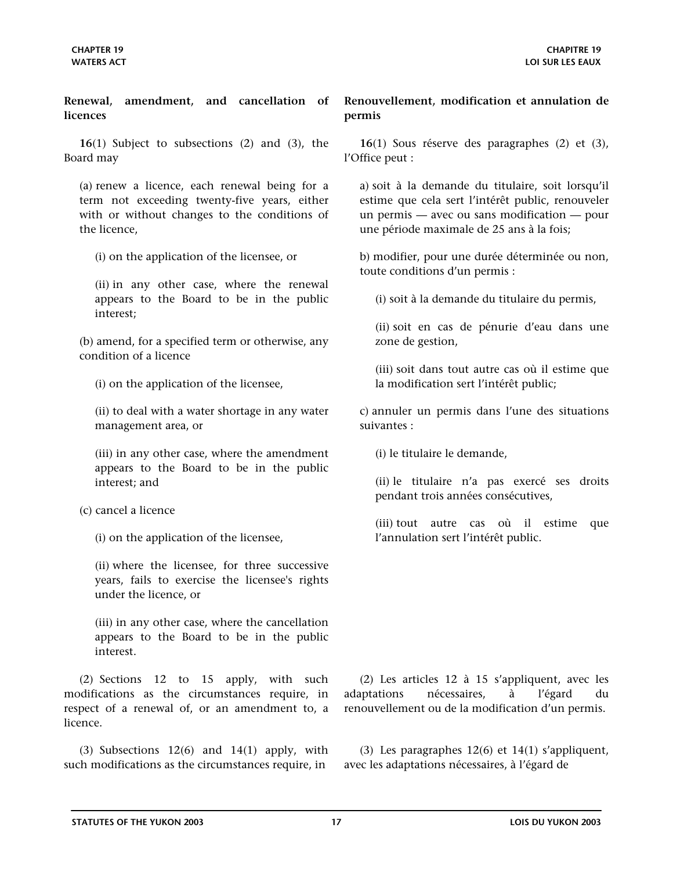<span id="page-16-0"></span>**Renewal, amendment, and cancellation of licences**

**16**(1) Subject to subsections (2) and (3), the Board may

(a) renew a licence, each renewal being for a term not exceeding twenty-five years, either with or without changes to the conditions of the licence,

(i) on the application of the licensee, or

(ii) in any other case, where the renewal appears to the Board to be in the public interest;

(b) amend, for a specified term or otherwise, any condition of a licence

(i) on the application of the licensee,

(ii) to deal with a water shortage in any water management area, or

(iii) in any other case, where the amendment appears to the Board to be in the public interest; and

### (c) cancel a licence

(i) on the application of the licensee,

(ii) where the licensee, for three successive years, fails to exercise the licensee's rights under the licence, or

(iii) in any other case, where the cancellation appears to the Board to be in the public interest.

(2) Sections 12 to 15 apply, with such modifications as the circumstances require, in respect of a renewal of, or an amendment to, a licence.

(3) Subsections  $12(6)$  and  $14(1)$  apply, with such modifications as the circumstances require, in

**Renouvellement, modification et annulation de permis**

**16**(1) Sous réserve des paragraphes (2) et (3), l'Office peut :

a) soit à la demande du titulaire, soit lorsqu'il estime que cela sert l'intérêt public, renouveler un permis — avec ou sans modification — pour une période maximale de 25 ans à la fois;

b) modifier, pour une durée déterminée ou non, toute conditions d'un permis :

(i) soit à la demande du titulaire du permis,

(ii) soit en cas de pénurie d'eau dans une zone de gestion,

(iii) soit dans tout autre cas où il estime que la modification sert l'intérêt public;

c) annuler un permis dans l'une des situations suivantes :

(i) le titulaire le demande,

(ii) le titulaire n'a pas exercé ses droits pendant trois années consécutives,

(iii) tout autre cas où il estime que l'annulation sert l'intérêt public.

(2) Les articles 12 à 15 s'appliquent, avec les adaptations nécessaires, à l'égard du renouvellement ou de la modification d'un permis.

(3) Les paragraphes 12(6) et 14(1) s'appliquent, avec les adaptations nécessaires, à l'égard de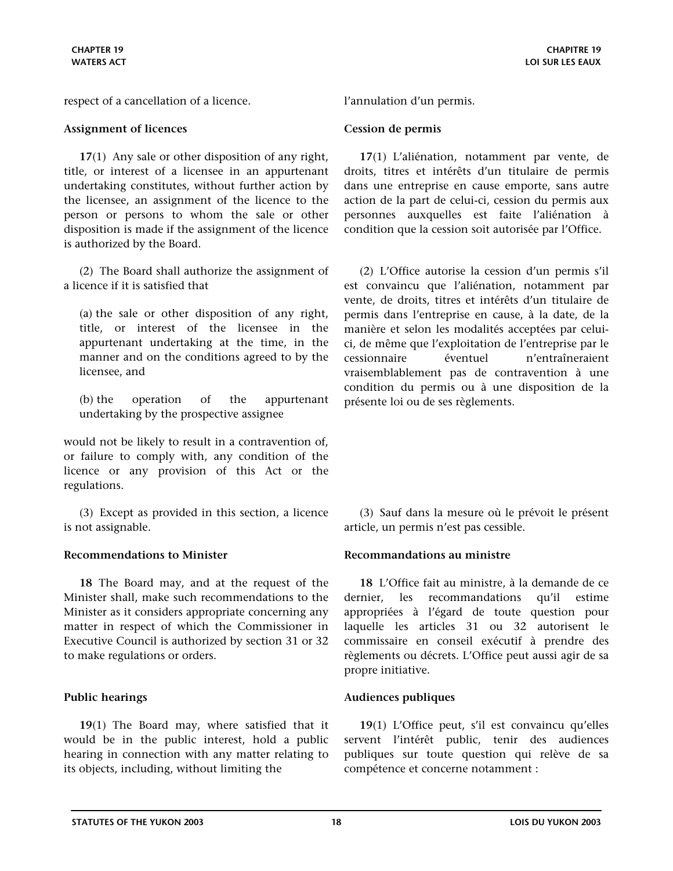<span id="page-17-0"></span>respect of a cancellation of a licence. l'annulation d'un permis.

### **Assignment of licences Cession de permis**

**17**(1) Any sale or other disposition of any right, title, or interest of a licensee in an appurtenant undertaking constitutes, without further action by the licensee, an assignment of the licence to the person or persons to whom the sale or other disposition is made if the assignment of the licence is authorized by the Board.

(2) The Board shall authorize the assignment of a licence if it is satisfied that

(a) the sale or other disposition of any right, title, or interest of the licensee in the appurtenant undertaking at the time, in the manner and on the conditions agreed to by the licensee, and

(b) the operation of the appurtenant undertaking by the prospective assignee

would not be likely to result in a contravention of, or failure to comply with, any condition of the licence or any provision of this Act or the regulations.

(3) Except as provided in this section, a licence is not assignable.

### **Recommendations to Minister Recommandations au ministre**

**18** The Board may, and at the request of the Minister shall, make such recommendations to the Minister as it considers appropriate concerning any matter in respect of which the Commissioner in Executive Council is authorized by section 31 or 32 to make regulations or orders.

**19**(1) The Board may, where satisfied that it would be in the public interest, hold a public hearing in connection with any matter relating to its objects, including, without limiting the

**17**(1) L'aliénation, notamment par vente, de droits, titres et intérêts d'un titulaire de permis dans une entreprise en cause emporte, sans autre action de la part de celui-ci, cession du permis aux personnes auxquelles est faite l'aliénation à condition que la cession soit autorisée par l'Office.

(2) L'Office autorise la cession d'un permis s'il est convaincu que l'aliénation, notamment par vente, de droits, titres et intérêts d'un titulaire de permis dans l'entreprise en cause, à la date, de la manière et selon les modalités acceptées par celuici, de même que l'exploitation de l'entreprise par le cessionnaire éventuel n'entraîneraient vraisemblablement pas de contravention à une condition du permis ou à une disposition de la présente loi ou de ses règlements.

(3) Sauf dans la mesure où le prévoit le présent article, un permis n'est pas cessible.

**18** L'Office fait au ministre, à la demande de ce dernier, les recommandations qu'il estime appropriées à l'égard de toute question pour laquelle les articles 31 ou 32 autorisent le commissaire en conseil exécutif à prendre des règlements ou décrets. L'Office peut aussi agir de sa propre initiative.

### **Public hearings Audiences publiques**

**19**(1) L'Office peut, s'il est convaincu qu'elles servent l'intérêt public, tenir des audiences publiques sur toute question qui relève de sa compétence et concerne notamment :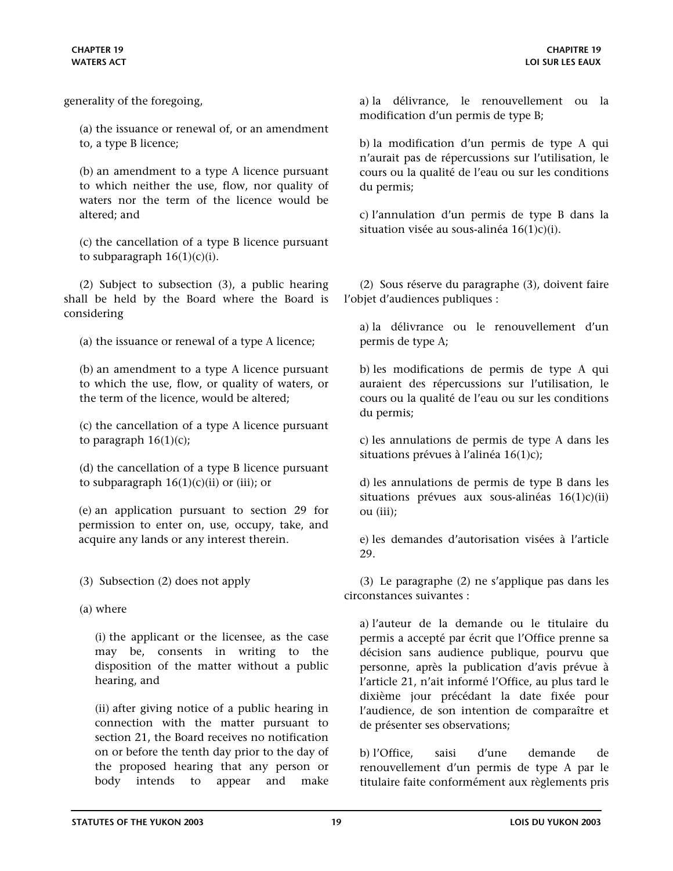generality of the foregoing,

(a) the issuance or renewal of, or an amendment to, a type B licence;

(b) an amendment to a type A licence pursuant to which neither the use, flow, nor quality of waters nor the term of the licence would be altered; and

(c) the cancellation of a type B licence pursuant to subparagraph  $16(1)(c)(i)$ .

(2) Subject to subsection (3), a public hearing shall be held by the Board where the Board is considering

(a) the issuance or renewal of a type A licence;

(b) an amendment to a type A licence pursuant to which the use, flow, or quality of waters, or the term of the licence, would be altered;

(c) the cancellation of a type A licence pursuant to paragraph  $16(1)(c)$ ;

(d) the cancellation of a type B licence pursuant to subparagraph  $16(1)(c)(ii)$  or (iii); or

(e) an application pursuant to section 29 for permission to enter on, use, occupy, take, and acquire any lands or any interest therein.

(3) Subsection (2) does not apply

(a) where

(i) the applicant or the licensee, as the case may be, consents in writing to the disposition of the matter without a public hearing, and

(ii) after giving notice of a public hearing in connection with the matter pursuant to section 21, the Board receives no notification on or before the tenth day prior to the day of the proposed hearing that any person or body intends to appear and make

a) la délivrance, le renouvellement ou la modification d'un permis de type B;

b) la modification d'un permis de type A qui n'aurait pas de répercussions sur l'utilisation, le cours ou la qualité de l'eau ou sur les conditions du permis;

c) l'annulation d'un permis de type B dans la situation visée au sous-alinéa 16(1)c)(i).

(2) Sous réserve du paragraphe (3), doivent faire l'objet d'audiences publiques :

a) la délivrance ou le renouvellement d'un permis de type A;

b) les modifications de permis de type A qui auraient des répercussions sur l'utilisation, le cours ou la qualité de l'eau ou sur les conditions du permis;

c) les annulations de permis de type A dans les situations prévues à l'alinéa 16(1)c);

d) les annulations de permis de type B dans les situations prévues aux sous-alinéas 16(1)c)(ii) ou (iii);

e) les demandes d'autorisation visées à l'article 29.

(3) Le paragraphe (2) ne s'applique pas dans les circonstances suivantes :

a) l'auteur de la demande ou le titulaire du permis a accepté par écrit que l'Office prenne sa décision sans audience publique, pourvu que personne, après la publication d'avis prévue à l'article 21, n'ait informé l'Office, au plus tard le dixième jour précédant la date fixée pour l'audience, de son intention de comparaître et de présenter ses observations;

b) l'Office, saisi d'une demande de renouvellement d'un permis de type A par le titulaire faite conformément aux règlements pris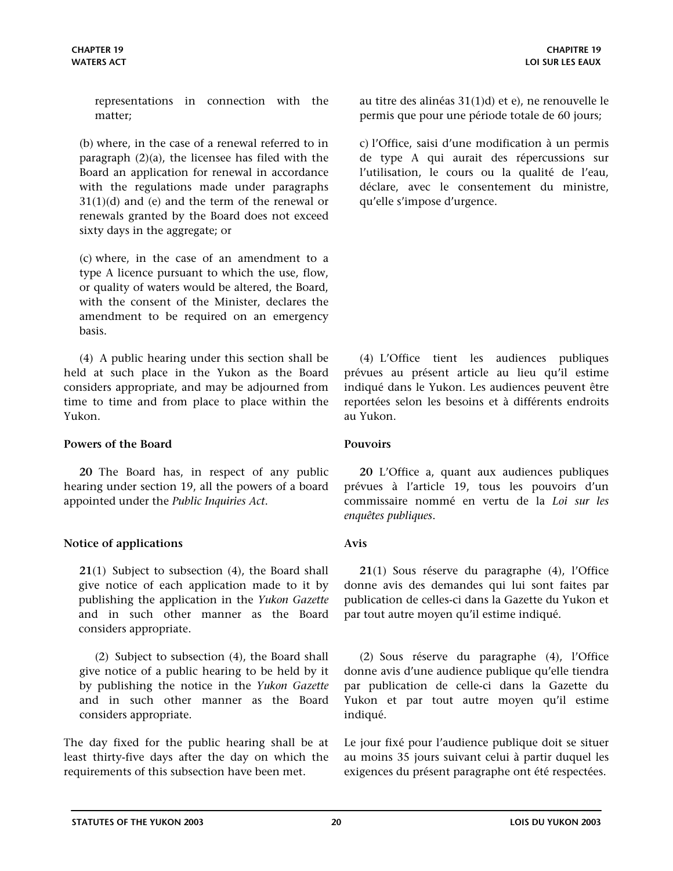<span id="page-19-0"></span>representations in connection with the matter;

(b) where, in the case of a renewal referred to in paragraph (2)(a), the licensee has filed with the Board an application for renewal in accordance with the regulations made under paragraphs 31(1)(d) and (e) and the term of the renewal or renewals granted by the Board does not exceed sixty days in the aggregate; or

(c) where, in the case of an amendment to a type A licence pursuant to which the use, flow, or quality of waters would be altered, the Board, with the consent of the Minister, declares the amendment to be required on an emergency basis.

(4) A public hearing under this section shall be held at such place in the Yukon as the Board considers appropriate, and may be adjourned from time to time and from place to place within the Yukon.

### **Powers of the Board Pouvoirs**

**20** The Board has, in respect of any public hearing under section 19, all the powers of a board appointed under the *Public Inquiries Act*.

### **Notice of applications Avis**

**21**(1) Subject to subsection (4), the Board shall give notice of each application made to it by publishing the application in the *Yukon Gazette* and in such other manner as the Board considers appropriate.

(2) Subject to subsection (4), the Board shall give notice of a public hearing to be held by it by publishing the notice in the *Yukon Gazette* and in such other manner as the Board considers appropriate.

The day fixed for the public hearing shall be at least thirty-five days after the day on which the requirements of this subsection have been met.

au titre des alinéas 31(1)d) et e), ne renouvelle le permis que pour une période totale de 60 jours;

c) l'Office, saisi d'une modification à un permis de type A qui aurait des répercussions sur l'utilisation, le cours ou la qualité de l'eau, déclare, avec le consentement du ministre, qu'elle s'impose d'urgence.

(4) L'Office tient les audiences publiques prévues au présent article au lieu qu'il estime indiqué dans le Yukon. Les audiences peuvent être reportées selon les besoins et à différents endroits au Yukon.

**20** L'Office a, quant aux audiences publiques prévues à l'article 19, tous les pouvoirs d'un commissaire nommé en vertu de la *Loi sur les enquêtes publiques*.

**21**(1) Sous réserve du paragraphe (4), l'Office donne avis des demandes qui lui sont faites par publication de celles-ci dans la Gazette du Yukon et par tout autre moyen qu'il estime indiqué.

(2) Sous réserve du paragraphe (4), l'Office donne avis d'une audience publique qu'elle tiendra par publication de celle-ci dans la Gazette du Yukon et par tout autre moyen qu'il estime indiqué.

Le jour fixé pour l'audience publique doit se situer au moins 35 jours suivant celui à partir duquel les exigences du présent paragraphe ont été respectées.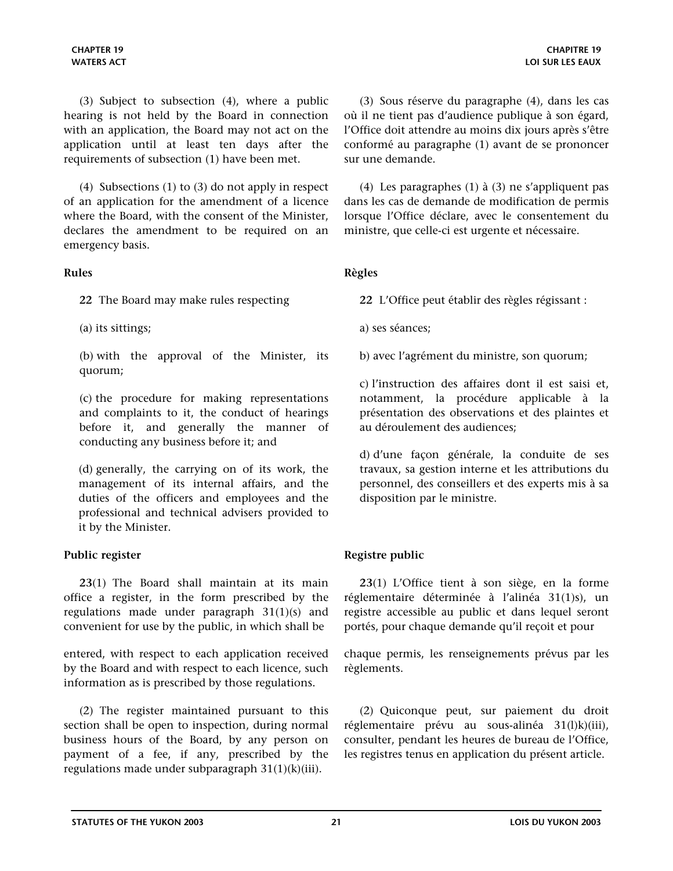<span id="page-20-0"></span>(4) Subsections (1) to (3) do not apply in respect of an application for the amendment of a licence where the Board, with the consent of the Minister, declares the amendment to be required on an emergency basis.

**22** The Board may make rules respecting

(a) its sittings;

(b) with the approval of the Minister, its quorum;

(c) the procedure for making representations and complaints to it, the conduct of hearings before it, and generally the manner of conducting any business before it; and

(d) generally, the carrying on of its work, the management of its internal affairs, and the duties of the officers and employees and the professional and technical advisers provided to it by the Minister.

**23**(1) The Board shall maintain at its main office a register, in the form prescribed by the regulations made under paragraph 31(1)(s) and convenient for use by the public, in which shall be

entered, with respect to each application received by the Board and with respect to each licence, such information as is prescribed by those regulations.

(2) The register maintained pursuant to this section shall be open to inspection, during normal business hours of the Board, by any person on payment of a fee, if any, prescribed by the regulations made under subparagraph  $31(1)(k)(iii)$ .

(3) Sous réserve du paragraphe (4), dans les cas où il ne tient pas d'audience publique à son égard, l'Office doit attendre au moins dix jours après s'être conformé au paragraphe (1) avant de se prononcer sur une demande.

(4) Les paragraphes (1) à (3) ne s'appliquent pas dans les cas de demande de modification de permis lorsque l'Office déclare, avec le consentement du ministre, que celle-ci est urgente et nécessaire.

# **Rules Règles**

**22** L'Office peut établir des règles régissant :

a) ses séances;

b) avec l'agrément du ministre, son quorum;

c) l'instruction des affaires dont il est saisi et, notamment, la procédure applicable à la présentation des observations et des plaintes et au déroulement des audiences;

d) d'une façon générale, la conduite de ses travaux, sa gestion interne et les attributions du personnel, des conseillers et des experts mis à sa disposition par le ministre.

# **Public register Registre public**

**23**(1) L'Office tient à son siège, en la forme réglementaire déterminée à l'alinéa 31(1)s), un registre accessible au public et dans lequel seront portés, pour chaque demande qu'il reçoit et pour

chaque permis, les renseignements prévus par les règlements.

(2) Quiconque peut, sur paiement du droit réglementaire prévu au sous-alinéa 31(l)k)(iii), consulter, pendant les heures de bureau de l'Office, les registres tenus en application du présent article.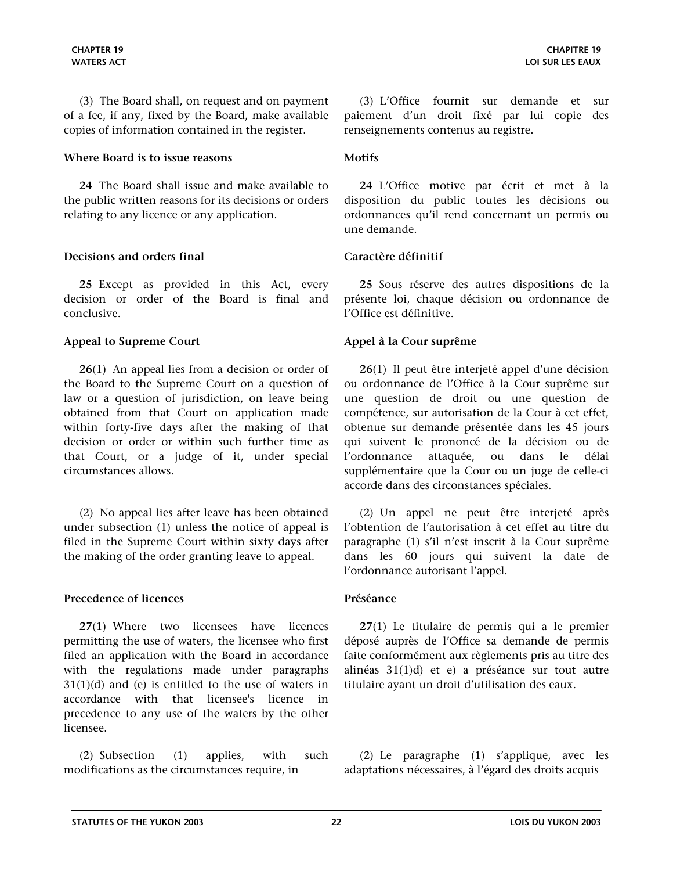<span id="page-21-0"></span>(3) The Board shall, on request and on payment of a fee, if any, fixed by the Board, make available copies of information contained in the register.

### **Where Board is to issue reasons Motifs**

**24** The Board shall issue and make available to the public written reasons for its decisions or orders relating to any licence or any application.

### **Decisions and orders final Caractère définitif**

**25** Except as provided in this Act, every decision or order of the Board is final and conclusive.

### **Appeal to Supreme Court Appel à la Cour suprême**

**26**(1) An appeal lies from a decision or order of the Board to the Supreme Court on a question of law or a question of jurisdiction, on leave being obtained from that Court on application made within forty-five days after the making of that decision or order or within such further time as that Court, or a judge of it, under special circumstances allows.

(2) No appeal lies after leave has been obtained under subsection (1) unless the notice of appeal is filed in the Supreme Court within sixty days after the making of the order granting leave to appeal.

### **Precedence of licences Préséance**

**27**(1) Where two licensees have licences permitting the use of waters, the licensee who first filed an application with the Board in accordance with the regulations made under paragraphs  $31(1)(d)$  and (e) is entitled to the use of waters in accordance with that licensee's licence in precedence to any use of the waters by the other licensee.

(2) Subsection (1) applies, with such modifications as the circumstances require, in

(3) L'Office fournit sur demande et sur paiement d'un droit fixé par lui copie des renseignements contenus au registre.

**24** L'Office motive par écrit et met à la disposition du public toutes les décisions ou ordonnances qu'il rend concernant un permis ou une demande.

**25** Sous réserve des autres dispositions de la présente loi, chaque décision ou ordonnance de l'Office est définitive.

**26**(1) Il peut être interjeté appel d'une décision ou ordonnance de l'Office à la Cour suprême sur une question de droit ou une question de compétence, sur autorisation de la Cour à cet effet, obtenue sur demande présentée dans les 45 jours qui suivent le prononcé de la décision ou de l'ordonnance attaquée, ou dans le délai supplémentaire que la Cour ou un juge de celle-ci accorde dans des circonstances spéciales.

(2) Un appel ne peut être interjeté après l'obtention de l'autorisation à cet effet au titre du paragraphe (1) s'il n'est inscrit à la Cour suprême dans les 60 jours qui suivent la date de l'ordonnance autorisant l'appel.

**27**(1) Le titulaire de permis qui a le premier déposé auprès de l'Office sa demande de permis faite conformément aux règlements pris au titre des alinéas 31(1)d) et e) a préséance sur tout autre titulaire ayant un droit d'utilisation des eaux.

(2) Le paragraphe (1) s'applique, avec les adaptations nécessaires, à l'égard des droits acquis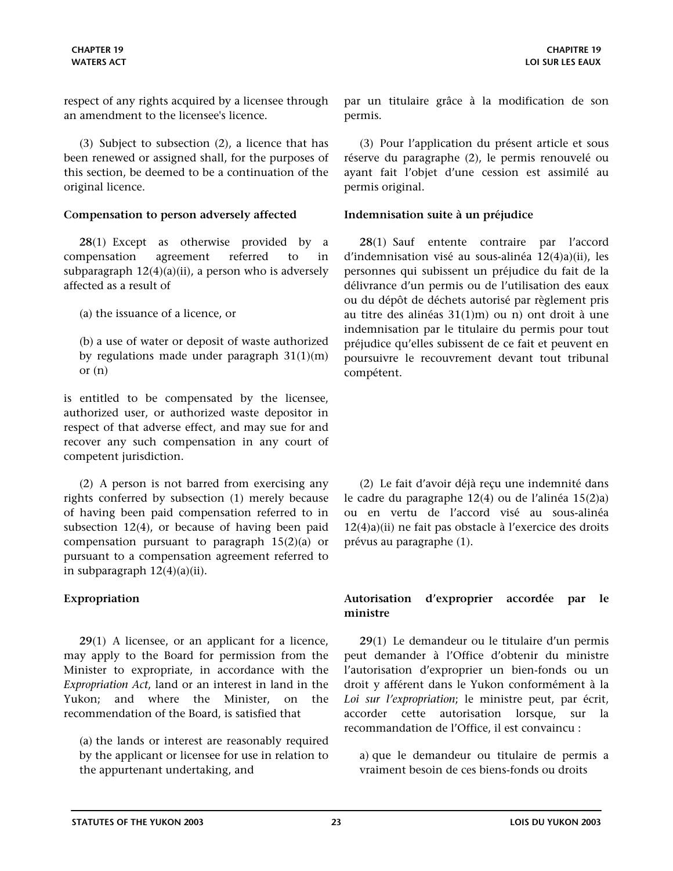<span id="page-22-0"></span>respect of any rights acquired by a licensee through an amendment to the licensee's licence.

(3) Subject to subsection (2), a licence that has been renewed or assigned shall, for the purposes of this section, be deemed to be a continuation of the original licence.

### **Compensation to person adversely affected Indemnisation suite à un préjudice**

**28**(1) Except as otherwise provided by a compensation agreement referred to in subparagraph  $12(4)(a)(ii)$ , a person who is adversely affected as a result of

(a) the issuance of a licence, or

(b) a use of water or deposit of waste authorized by regulations made under paragraph 31(1)(m) or  $(n)$ 

is entitled to be compensated by the licensee, authorized user, or authorized waste depositor in respect of that adverse effect, and may sue for and recover any such compensation in any court of competent jurisdiction.

(2) A person is not barred from exercising any rights conferred by subsection (1) merely because of having been paid compensation referred to in subsection 12(4), or because of having been paid compensation pursuant to paragraph 15(2)(a) or pursuant to a compensation agreement referred to in subparagraph  $12(4)(a)(ii)$ .

**29**(1) A licensee, or an applicant for a licence, may apply to the Board for permission from the Minister to expropriate, in accordance with the *Expropriation Act*, land or an interest in land in the Yukon; and where the Minister, on the recommendation of the Board, is satisfied that

(a) the lands or interest are reasonably required by the applicant or licensee for use in relation to the appurtenant undertaking, and

par un titulaire grâce à la modification de son permis.

(3) Pour l'application du présent article et sous réserve du paragraphe (2), le permis renouvelé ou ayant fait l'objet d'une cession est assimilé au permis original.

**28**(1) Sauf entente contraire par l'accord d'indemnisation visé au sous-alinéa 12(4)a)(ii), les personnes qui subissent un préjudice du fait de la délivrance d'un permis ou de l'utilisation des eaux ou du dépôt de déchets autorisé par règlement pris au titre des alinéas 31(1)m) ou n) ont droit à une indemnisation par le titulaire du permis pour tout préjudice qu'elles subissent de ce fait et peuvent en poursuivre le recouvrement devant tout tribunal compétent.

(2) Le fait d'avoir déjà reçu une indemnité dans le cadre du paragraphe 12(4) ou de l'alinéa 15(2)a) ou en vertu de l'accord visé au sous-alinéa 12(4)a)(ii) ne fait pas obstacle à l'exercice des droits prévus au paragraphe (1).

# **Expropriation Autorisation d'exproprier accordée par le ministre**

**29**(1) Le demandeur ou le titulaire d'un permis peut demander à l'Office d'obtenir du ministre l'autorisation d'exproprier un bien-fonds ou un droit y afférent dans le Yukon conformément à la *Loi sur l'expropriation*; le ministre peut, par écrit, accorder cette autorisation lorsque, sur la recommandation de l'Office, il est convaincu :

a) que le demandeur ou titulaire de permis a vraiment besoin de ces biens-fonds ou droits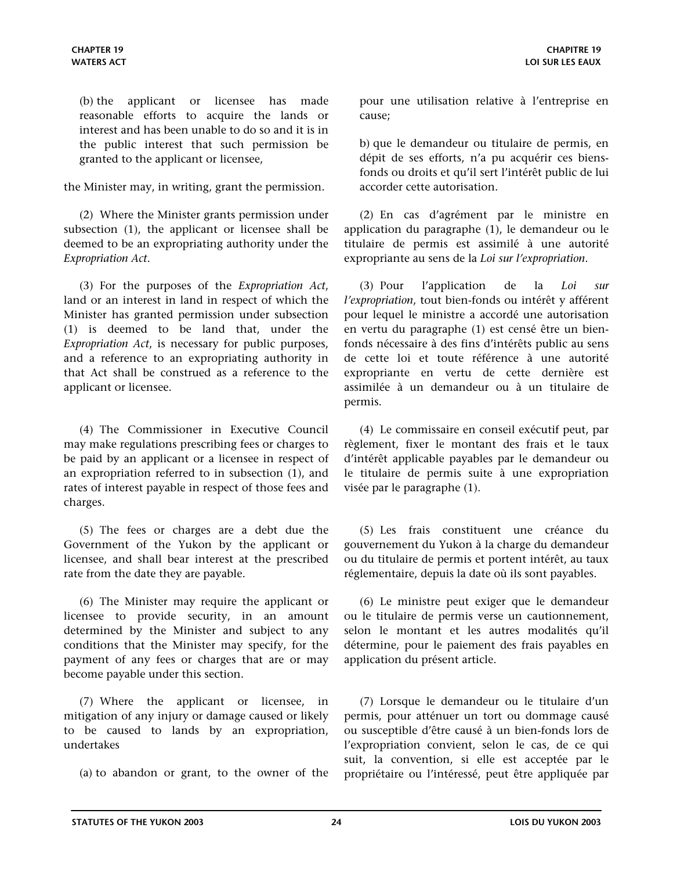(b) the applicant or licensee has made reasonable efforts to acquire the lands or interest and has been unable to do so and it is in the public interest that such permission be granted to the applicant or licensee,

the Minister may, in writing, grant the permission.

(2) Where the Minister grants permission under subsection (1), the applicant or licensee shall be deemed to be an expropriating authority under the *Expropriation Act*.

(3) For the purposes of the *Expropriation Act*, land or an interest in land in respect of which the Minister has granted permission under subsection (1) is deemed to be land that, under the *Expropriation Act*, is necessary for public purposes, and a reference to an expropriating authority in that Act shall be construed as a reference to the applicant or licensee.

(4) The Commissioner in Executive Council may make regulations prescribing fees or charges to be paid by an applicant or a licensee in respect of an expropriation referred to in subsection (1), and rates of interest payable in respect of those fees and charges.

(5) The fees or charges are a debt due the Government of the Yukon by the applicant or licensee, and shall bear interest at the prescribed rate from the date they are payable.

(6) The Minister may require the applicant or licensee to provide security, in an amount determined by the Minister and subject to any conditions that the Minister may specify, for the payment of any fees or charges that are or may become payable under this section.

(7) Where the applicant or licensee, in mitigation of any injury or damage caused or likely to be caused to lands by an expropriation, undertakes

(a) to abandon or grant, to the owner of the

pour une utilisation relative à l'entreprise en cause;

b) que le demandeur ou titulaire de permis, en dépit de ses efforts, n'a pu acquérir ces biensfonds ou droits et qu'il sert l'intérêt public de lui accorder cette autorisation.

(2) En cas d'agrément par le ministre en application du paragraphe (1), le demandeur ou le titulaire de permis est assimilé à une autorité expropriante au sens de la *Loi sur l'expropriation*.

(3) Pour l'application de la *Loi sur l'expropriation*, tout bien-fonds ou intérêt y afférent pour lequel le ministre a accordé une autorisation en vertu du paragraphe (1) est censé être un bienfonds nécessaire à des fins d'intérêts public au sens de cette loi et toute référence à une autorité expropriante en vertu de cette dernière est assimilée à un demandeur ou à un titulaire de permis.

(4) Le commissaire en conseil exécutif peut, par règlement, fixer le montant des frais et le taux d'intérêt applicable payables par le demandeur ou le titulaire de permis suite à une expropriation visée par le paragraphe (1).

(5) Les frais constituent une créance du gouvernement du Yukon à la charge du demandeur ou du titulaire de permis et portent intérêt, au taux réglementaire, depuis la date où ils sont payables.

(6) Le ministre peut exiger que le demandeur ou le titulaire de permis verse un cautionnement, selon le montant et les autres modalités qu'il détermine, pour le paiement des frais payables en application du présent article.

(7) Lorsque le demandeur ou le titulaire d'un permis, pour atténuer un tort ou dommage causé ou susceptible d'être causé à un bien-fonds lors de l'expropriation convient, selon le cas, de ce qui suit, la convention, si elle est acceptée par le propriétaire ou l'intéressé, peut être appliquée par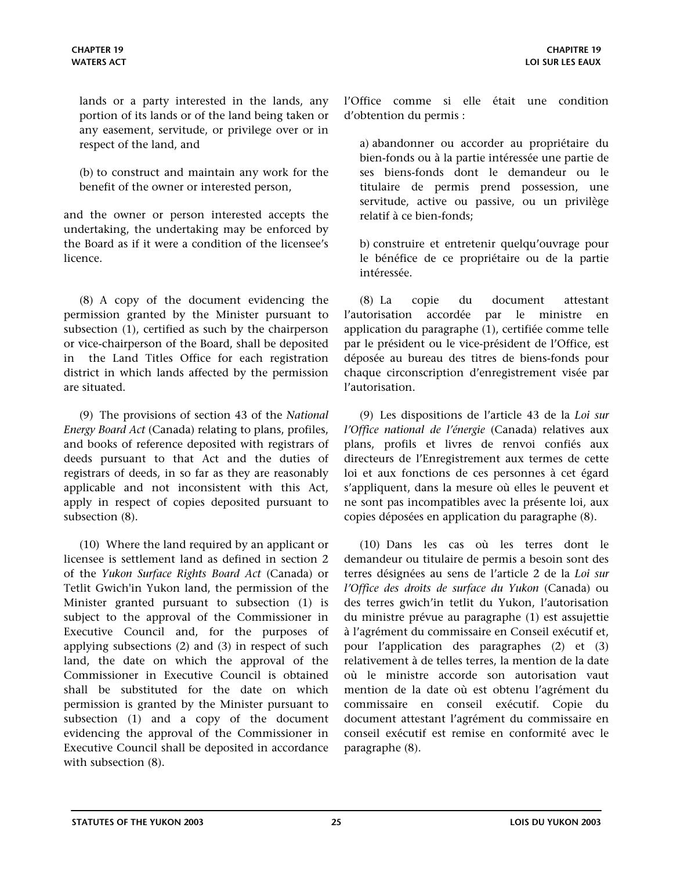lands or a party interested in the lands, any portion of its lands or of the land being taken or any easement, servitude, or privilege over or in respect of the land, and

(b) to construct and maintain any work for the benefit of the owner or interested person,

and the owner or person interested accepts the undertaking, the undertaking may be enforced by the Board as if it were a condition of the licensee's licence.

(8) A copy of the document evidencing the permission granted by the Minister pursuant to subsection (1), certified as such by the chairperson or vice-chairperson of the Board, shall be deposited in the Land Titles Office for each registration district in which lands affected by the permission are situated.

(9) The provisions of section 43 of the *National Energy Board Act* (Canada) relating to plans, profiles, and books of reference deposited with registrars of deeds pursuant to that Act and the duties of registrars of deeds, in so far as they are reasonably applicable and not inconsistent with this Act, apply in respect of copies deposited pursuant to subsection (8).

(10) Where the land required by an applicant or licensee is settlement land as defined in section 2 of the *Yukon Surface Rights Board Act* (Canada) or Tetlit Gwich'in Yukon land, the permission of the Minister granted pursuant to subsection (1) is subject to the approval of the Commissioner in Executive Council and, for the purposes of applying subsections (2) and (3) in respect of such land, the date on which the approval of the Commissioner in Executive Council is obtained shall be substituted for the date on which permission is granted by the Minister pursuant to subsection (1) and a copy of the document evidencing the approval of the Commissioner in Executive Council shall be deposited in accordance with subsection (8).

l'Office comme si elle était une condition d'obtention du permis :

a) abandonner ou accorder au propriétaire du bien-fonds ou à la partie intéressée une partie de ses biens-fonds dont le demandeur ou le titulaire de permis prend possession, une servitude, active ou passive, ou un privilège relatif à ce bien-fonds;

b) construire et entretenir quelqu'ouvrage pour le bénéfice de ce propriétaire ou de la partie intéressée.

(8) La copie du document attestant l'autorisation accordée par le ministre en application du paragraphe (1), certifiée comme telle par le président ou le vice-président de l'Office, est déposée au bureau des titres de biens-fonds pour chaque circonscription d'enregistrement visée par l'autorisation.

(9) Les dispositions de l'article 43 de la *Loi sur l'Office national de l'énergie* (Canada) relatives aux plans, profils et livres de renvoi confiés aux directeurs de l'Enregistrement aux termes de cette loi et aux fonctions de ces personnes à cet égard s'appliquent, dans la mesure où elles le peuvent et ne sont pas incompatibles avec la présente loi, aux copies déposées en application du paragraphe (8).

(10) Dans les cas où les terres dont le demandeur ou titulaire de permis a besoin sont des terres désignées au sens de l'article 2 de la *Loi sur l'Office des droits de surface du Yukon* (Canada) ou des terres gwich'in tetlit du Yukon, l'autorisation du ministre prévue au paragraphe (1) est assujettie à l'agrément du commissaire en Conseil exécutif et, pour l'application des paragraphes (2) et (3) relativement à de telles terres, la mention de la date où le ministre accorde son autorisation vaut mention de la date où est obtenu l'agrément du commissaire en conseil exécutif. Copie du document attestant l'agrément du commissaire en conseil exécutif est remise en conformité avec le paragraphe (8).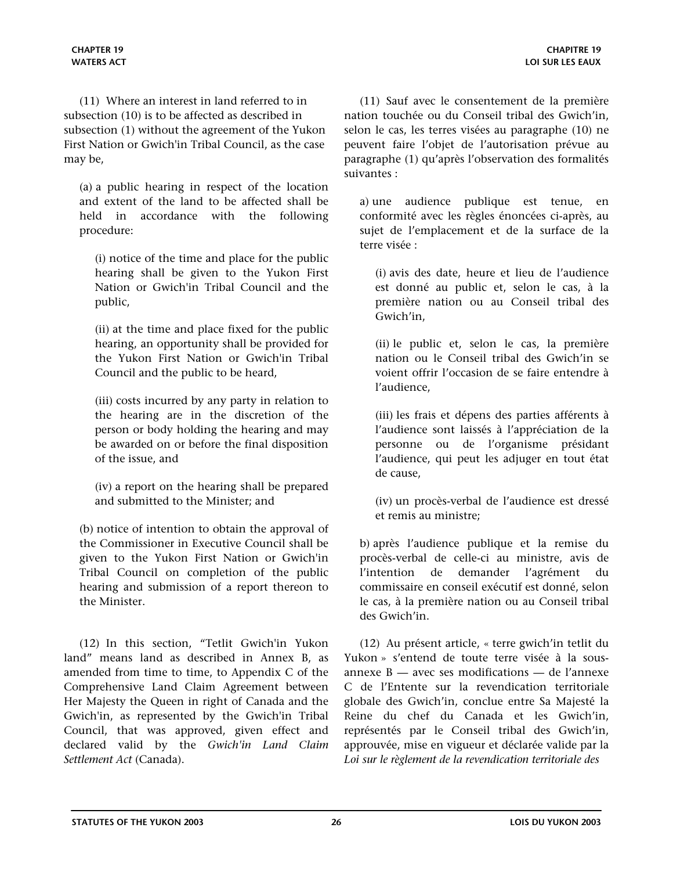(11) Where an interest in land referred to in subsection (10) is to be affected as described in subsection (1) without the agreement of the Yukon First Nation or Gwich'in Tribal Council, as the case may be,

(a) a public hearing in respect of the location and extent of the land to be affected shall be held in accordance with the following procedure:

(i) notice of the time and place for the public hearing shall be given to the Yukon First Nation or Gwich'in Tribal Council and the public,

(ii) at the time and place fixed for the public hearing, an opportunity shall be provided for the Yukon First Nation or Gwich'in Tribal Council and the public to be heard,

(iii) costs incurred by any party in relation to the hearing are in the discretion of the person or body holding the hearing and may be awarded on or before the final disposition of the issue, and

(iv) a report on the hearing shall be prepared and submitted to the Minister; and

(b) notice of intention to obtain the approval of the Commissioner in Executive Council shall be given to the Yukon First Nation or Gwich'in Tribal Council on completion of the public hearing and submission of a report thereon to the Minister.

(12) In this section, "Tetlit Gwich'in Yukon land" means land as described in Annex B, as amended from time to time, to Appendix C of the Comprehensive Land Claim Agreement between Her Majesty the Queen in right of Canada and the Gwich'in, as represented by the Gwich'in Tribal Council, that was approved, given effect and declared valid by the *Gwich'in Land Claim Settlement Act* (Canada).

(11) Sauf avec le consentement de la première nation touchée ou du Conseil tribal des Gwich'in, selon le cas, les terres visées au paragraphe (10) ne peuvent faire l'objet de l'autorisation prévue au paragraphe (1) qu'après l'observation des formalités suivantes :

a) une audience publique est tenue, en conformité avec les règles énoncées ci-après, au sujet de l'emplacement et de la surface de la terre visée :

(i) avis des date, heure et lieu de l'audience est donné au public et, selon le cas, à la première nation ou au Conseil tribal des Gwich'in,

(ii) le public et, selon le cas, la première nation ou le Conseil tribal des Gwich'in se voient offrir l'occasion de se faire entendre à l'audience,

(iii) les frais et dépens des parties afférents à l'audience sont laissés à l'appréciation de la personne ou de l'organisme présidant l'audience, qui peut les adjuger en tout état de cause,

(iv) un procès-verbal de l'audience est dressé et remis au ministre;

b) après l'audience publique et la remise du procès-verbal de celle-ci au ministre, avis de l'intention de demander l'agrément du commissaire en conseil exécutif est donné, selon le cas, à la première nation ou au Conseil tribal des Gwich'in.

(12) Au présent article, « terre gwich'in tetlit du Yukon » s'entend de toute terre visée à la sousannexe B — avec ses modifications — de l'annexe C de l'Entente sur la revendication territoriale globale des Gwich'in, conclue entre Sa Majesté la Reine du chef du Canada et les Gwich'in, représentés par le Conseil tribal des Gwich'in, approuvée, mise en vigueur et déclarée valide par la *Loi sur le règlement de la revendication territoriale des*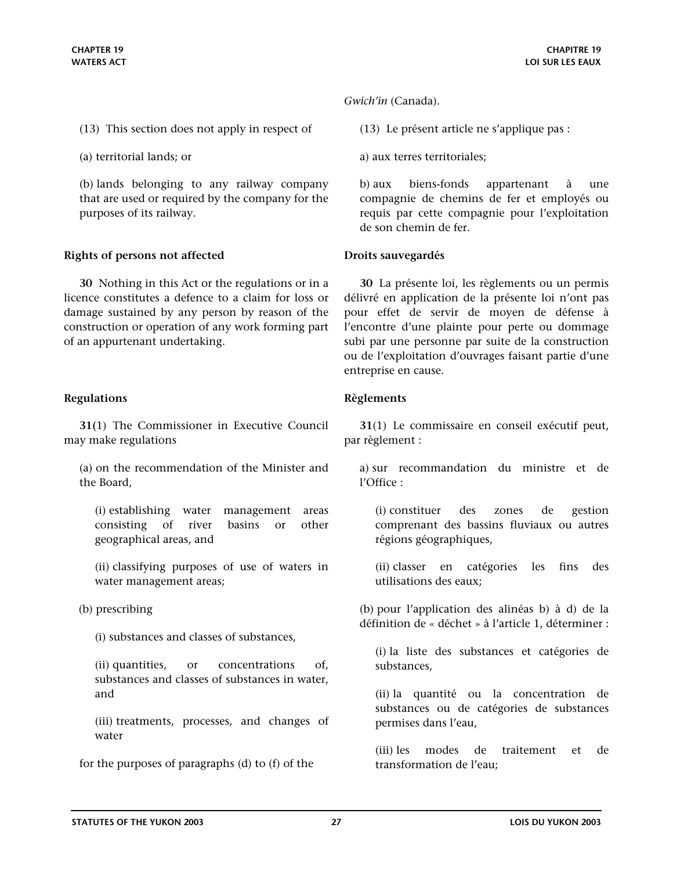- <span id="page-26-0"></span>(13) This section does not apply in respect of
- (a) territorial lands; or

(b) lands belonging to any railway company that are used or required by the company for the purposes of its railway.

### **Rights of persons not affected Droits sauvegardés**

**30** Nothing in this Act or the regulations or in a licence constitutes a defence to a claim for loss or damage sustained by any person by reason of the construction or operation of any work forming part of an appurtenant undertaking.

### **Regulations Règlements**

**31(**1) The Commissioner in Executive Council may make regulations

(a) on the recommendation of the Minister and the Board,

(i) establishing water management areas consisting of river basins or other geographical areas, and

(ii) classifying purposes of use of waters in water management areas;

(b) prescribing

(i) substances and classes of substances,

(ii) quantities, or concentrations of, substances and classes of substances in water, and

(iii) treatments, processes, and changes of water

for the purposes of paragraphs (d) to (f) of the

*Gwich'in* (Canada).

(13) Le présent article ne s'applique pas :

a) aux terres territoriales;

b) aux biens-fonds appartenant à une compagnie de chemins de fer et employés ou requis par cette compagnie pour l'exploitation de son chemin de fer.

**30** La présente loi, les règlements ou un permis délivré en application de la présente loi n'ont pas pour effet de servir de moyen de défense à l'encontre d'une plainte pour perte ou dommage subi par une personne par suite de la construction ou de l'exploitation d'ouvrages faisant partie d'une entreprise en cause.

**31**(1) Le commissaire en conseil exécutif peut, par règlement :

a) sur recommandation du ministre et de l'Office :

(i) constituer des zones de gestion comprenant des bassins fluviaux ou autres régions géographiques,

(ii) classer en catégories les fins des utilisations des eaux;

(b) pour l'application des alinéas b) à d) de la définition de « déchet » à l'article 1, déterminer :

(i) la liste des substances et catégories de substances,

(ii) la quantité ou la concentration de substances ou de catégories de substances permises dans l'eau,

(iii) les modes de traitement et de transformation de l'eau;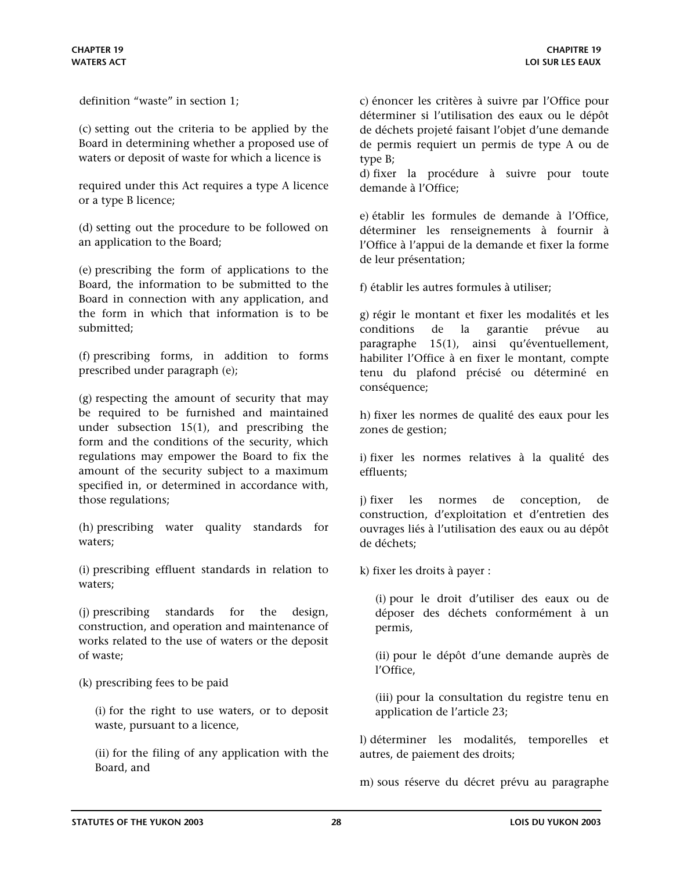definition "waste" in section 1;

(c) setting out the criteria to be applied by the Board in determining whether a proposed use of waters or deposit of waste for which a licence is

required under this Act requires a type A licence or a type B licence;

(d) setting out the procedure to be followed on an application to the Board;

(e) prescribing the form of applications to the Board, the information to be submitted to the Board in connection with any application, and the form in which that information is to be submitted;

(f) prescribing forms, in addition to forms prescribed under paragraph (e);

(g) respecting the amount of security that may be required to be furnished and maintained under subsection 15(1), and prescribing the form and the conditions of the security, which regulations may empower the Board to fix the amount of the security subject to a maximum specified in, or determined in accordance with, those regulations;

(h) prescribing water quality standards for waters;

(i) prescribing effluent standards in relation to waters;

(j) prescribing standards for the design, construction, and operation and maintenance of works related to the use of waters or the deposit of waste;

(k) prescribing fees to be paid

(i) for the right to use waters, or to deposit waste, pursuant to a licence,

(ii) for the filing of any application with the Board, and

c) énoncer les critères à suivre par l'Office pour déterminer si l'utilisation des eaux ou le dépôt de déchets projeté faisant l'objet d'une demande de permis requiert un permis de type A ou de type B;

d) fixer la procédure à suivre pour toute demande à l'Office;

e) établir les formules de demande à l'Office, déterminer les renseignements à fournir à l'Office à l'appui de la demande et fixer la forme de leur présentation;

f) établir les autres formules à utiliser;

g) régir le montant et fixer les modalités et les conditions de la garantie prévue au paragraphe 15(1), ainsi qu'éventuellement, habiliter l'Office à en fixer le montant, compte tenu du plafond précisé ou déterminé en conséquence;

h) fixer les normes de qualité des eaux pour les zones de gestion;

i) fixer les normes relatives à la qualité des effluents;

j) fixer les normes de conception, de construction, d'exploitation et d'entretien des ouvrages liés à l'utilisation des eaux ou au dépôt de déchets;

k) fixer les droits à payer :

(i) pour le droit d'utiliser des eaux ou de déposer des déchets conformément à un permis,

(ii) pour le dépôt d'une demande auprès de l'Office,

(iii) pour la consultation du registre tenu en application de l'article 23;

l) déterminer les modalités, temporelles et autres, de paiement des droits;

m) sous réserve du décret prévu au paragraphe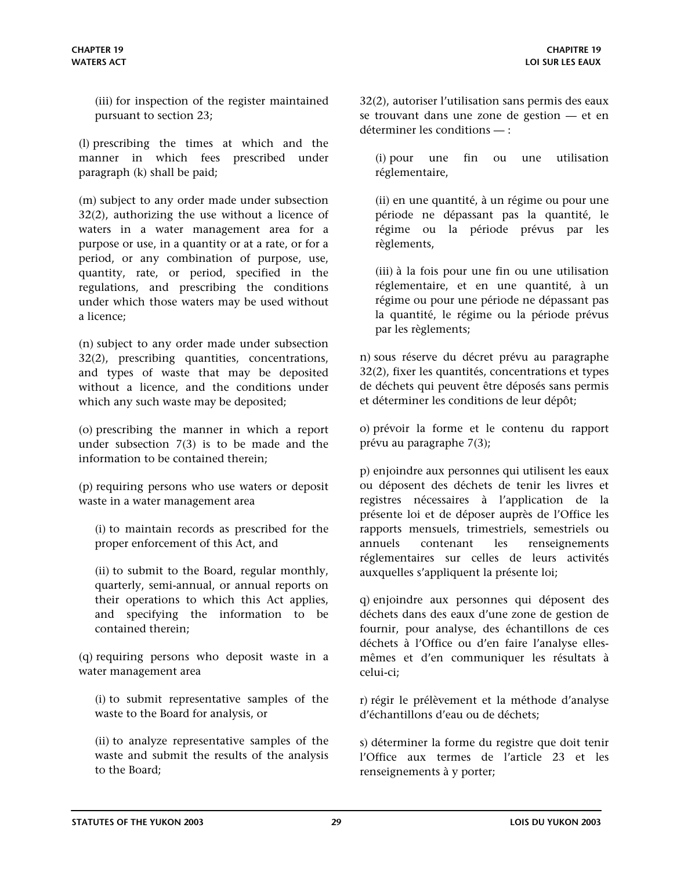(iii) for inspection of the register maintained pursuant to section 23;

(l) prescribing the times at which and the manner in which fees prescribed under paragraph (k) shall be paid;

(m) subject to any order made under subsection 32(2), authorizing the use without a licence of waters in a water management area for a purpose or use, in a quantity or at a rate, or for a period, or any combination of purpose, use, quantity, rate, or period, specified in the regulations, and prescribing the conditions under which those waters may be used without a licence;

(n) subject to any order made under subsection 32(2), prescribing quantities, concentrations, and types of waste that may be deposited without a licence, and the conditions under which any such waste may be deposited;

(o) prescribing the manner in which a report under subsection 7(3) is to be made and the information to be contained therein;

(p) requiring persons who use waters or deposit waste in a water management area

(i) to maintain records as prescribed for the proper enforcement of this Act, and

(ii) to submit to the Board, regular monthly, quarterly, semi-annual, or annual reports on their operations to which this Act applies, and specifying the information to be contained therein;

(q) requiring persons who deposit waste in a water management area

(i) to submit representative samples of the waste to the Board for analysis, or

(ii) to analyze representative samples of the waste and submit the results of the analysis to the Board;

32(2), autoriser l'utilisation sans permis des eaux se trouvant dans une zone de gestion — et en déterminer les conditions — :

(i) pour une fin ou une utilisation réglementaire,

(ii) en une quantité, à un régime ou pour une période ne dépassant pas la quantité, le régime ou la période prévus par les règlements,

(iii) à la fois pour une fin ou une utilisation réglementaire, et en une quantité, à un régime ou pour une période ne dépassant pas la quantité, le régime ou la période prévus par les règlements;

n) sous réserve du décret prévu au paragraphe 32(2), fixer les quantités, concentrations et types de déchets qui peuvent être déposés sans permis et déterminer les conditions de leur dépôt;

o) prévoir la forme et le contenu du rapport prévu au paragraphe 7(3);

p) enjoindre aux personnes qui utilisent les eaux ou déposent des déchets de tenir les livres et registres nécessaires à l'application de la présente loi et de déposer auprès de l'Office les rapports mensuels, trimestriels, semestriels ou annuels contenant les renseignements réglementaires sur celles de leurs activités auxquelles s'appliquent la présente loi;

q) enjoindre aux personnes qui déposent des déchets dans des eaux d'une zone de gestion de fournir, pour analyse, des échantillons de ces déchets à l'Office ou d'en faire l'analyse ellesmêmes et d'en communiquer les résultats à celui-ci;

r) régir le prélèvement et la méthode d'analyse d'échantillons d'eau ou de déchets;

s) déterminer la forme du registre que doit tenir l'Office aux termes de l'article 23 et les renseignements à y porter;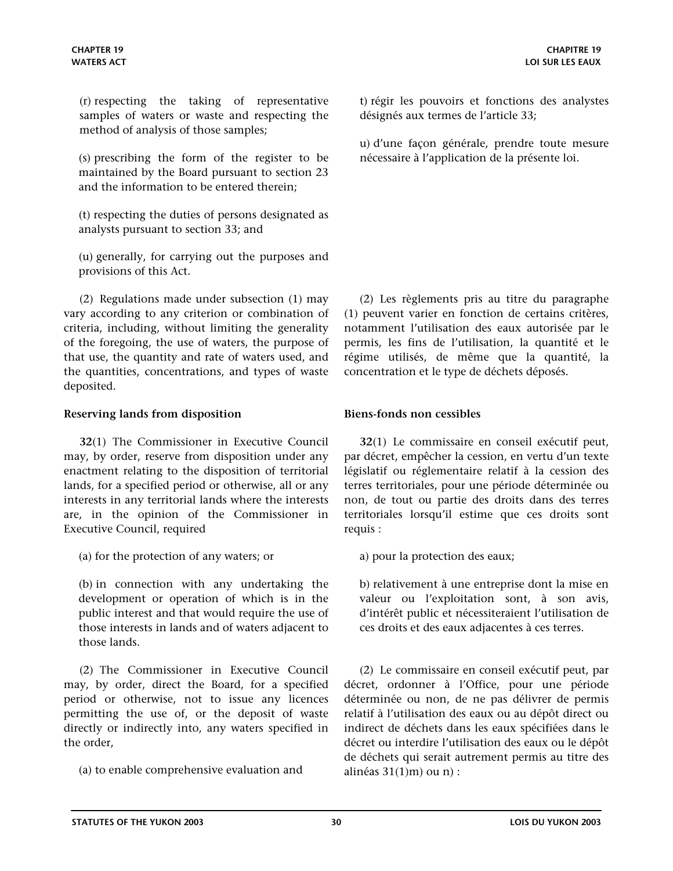<span id="page-29-0"></span>(r) respecting the taking of representative samples of waters or waste and respecting the method of analysis of those samples;

(s) prescribing the form of the register to be maintained by the Board pursuant to section 23 and the information to be entered therein;

(t) respecting the duties of persons designated as analysts pursuant to section 33; and

(u) generally, for carrying out the purposes and provisions of this Act.

(2) Regulations made under subsection (1) may vary according to any criterion or combination of criteria, including, without limiting the generality of the foregoing, the use of waters, the purpose of that use, the quantity and rate of waters used, and the quantities, concentrations, and types of waste deposited.

### **Reserving lands from disposition Biens-fonds non cessibles**

**32**(1) The Commissioner in Executive Council may, by order, reserve from disposition under any enactment relating to the disposition of territorial lands, for a specified period or otherwise, all or any interests in any territorial lands where the interests are, in the opinion of the Commissioner in Executive Council, required

(a) for the protection of any waters; or

(b) in connection with any undertaking the development or operation of which is in the public interest and that would require the use of those interests in lands and of waters adjacent to those lands.

(2) The Commissioner in Executive Council may, by order, direct the Board, for a specified period or otherwise, not to issue any licences permitting the use of, or the deposit of waste directly or indirectly into, any waters specified in the order,

t) régir les pouvoirs et fonctions des analystes désignés aux termes de l'article 33;

u) d'une façon générale, prendre toute mesure nécessaire à l'application de la présente loi.

(2) Les règlements pris au titre du paragraphe (1) peuvent varier en fonction de certains critères, notamment l'utilisation des eaux autorisée par le permis, les fins de l'utilisation, la quantité et le régime utilisés, de même que la quantité, la concentration et le type de déchets déposés.

**32**(1) Le commissaire en conseil exécutif peut, par décret, empêcher la cession, en vertu d'un texte législatif ou réglementaire relatif à la cession des terres territoriales, pour une période déterminée ou non, de tout ou partie des droits dans des terres territoriales lorsqu'il estime que ces droits sont requis :

a) pour la protection des eaux;

b) relativement à une entreprise dont la mise en valeur ou l'exploitation sont, à son avis, d'intérêt public et nécessiteraient l'utilisation de ces droits et des eaux adjacentes à ces terres.

(2) Le commissaire en conseil exécutif peut, par décret, ordonner à l'Office, pour une période déterminée ou non, de ne pas délivrer de permis relatif à l'utilisation des eaux ou au dépôt direct ou indirect de déchets dans les eaux spécifiées dans le décret ou interdire l'utilisation des eaux ou le dépôt de déchets qui serait autrement permis au titre des alinéas 31(1)m) ou n) :

<sup>(</sup>a) to enable comprehensive evaluation and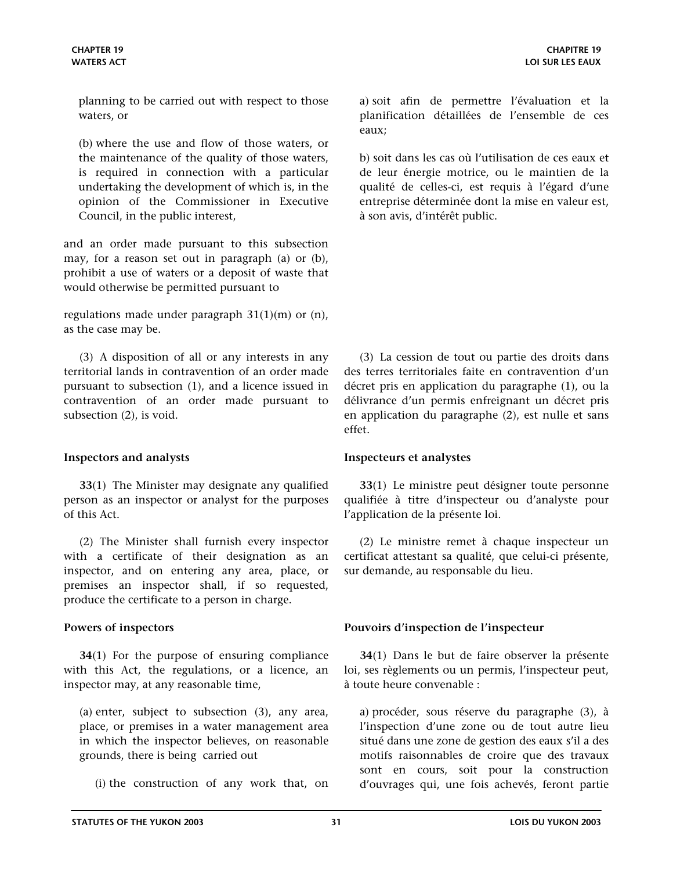<span id="page-30-0"></span>planning to be carried out with respect to those waters, or

(b) where the use and flow of those waters, or the maintenance of the quality of those waters, is required in connection with a particular undertaking the development of which is, in the opinion of the Commissioner in Executive Council, in the public interest,

and an order made pursuant to this subsection may, for a reason set out in paragraph (a) or (b), prohibit a use of waters or a deposit of waste that would otherwise be permitted pursuant to

regulations made under paragraph 31(1)(m) or (n), as the case may be.

(3) A disposition of all or any interests in any territorial lands in contravention of an order made pursuant to subsection (1), and a licence issued in contravention of an order made pursuant to subsection (2), is void.

### **Inspectors and analysts Inspecteurs et analystes**

**33**(1) The Minister may designate any qualified person as an inspector or analyst for the purposes of this Act.

(2) The Minister shall furnish every inspector with a certificate of their designation as an inspector, and on entering any area, place, or premises an inspector shall, if so requested, produce the certificate to a person in charge.

**34**(1) For the purpose of ensuring compliance with this Act, the regulations, or a licence, an inspector may, at any reasonable time,

(a) enter, subject to subsection (3), any area, place, or premises in a water management area in which the inspector believes, on reasonable grounds, there is being carried out

(i) the construction of any work that, on

a) soit afin de permettre l'évaluation et la planification détaillées de l'ensemble de ces eaux;

b) soit dans les cas où l'utilisation de ces eaux et de leur énergie motrice, ou le maintien de la qualité de celles-ci, est requis à l'égard d'une entreprise déterminée dont la mise en valeur est, à son avis, d'intérêt public.

(3) La cession de tout ou partie des droits dans des terres territoriales faite en contravention d'un décret pris en application du paragraphe (1), ou la délivrance d'un permis enfreignant un décret pris en application du paragraphe (2), est nulle et sans effet.

**33**(1) Le ministre peut désigner toute personne qualifiée à titre d'inspecteur ou d'analyste pour l'application de la présente loi.

(2) Le ministre remet à chaque inspecteur un certificat attestant sa qualité, que celui-ci présente, sur demande, au responsable du lieu.

### **Powers of inspectors Pouvoirs d'inspection de l'inspecteur**

**34**(1) Dans le but de faire observer la présente loi, ses règlements ou un permis, l'inspecteur peut, à toute heure convenable :

a) procéder, sous réserve du paragraphe (3), à l'inspection d'une zone ou de tout autre lieu situé dans une zone de gestion des eaux s'il a des motifs raisonnables de croire que des travaux sont en cours, soit pour la construction d'ouvrages qui, une fois achevés, feront partie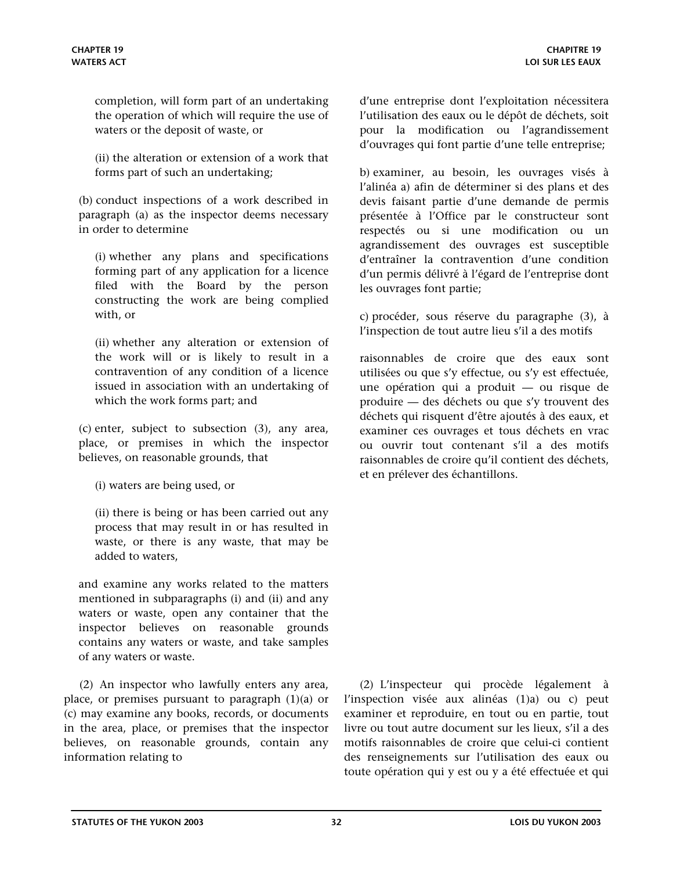completion, will form part of an undertaking the operation of which will require the use of waters or the deposit of waste, or

(ii) the alteration or extension of a work that forms part of such an undertaking;

(b) conduct inspections of a work described in paragraph (a) as the inspector deems necessary in order to determine

(i) whether any plans and specifications forming part of any application for a licence filed with the Board by the person constructing the work are being complied with, or

(ii) whether any alteration or extension of the work will or is likely to result in a contravention of any condition of a licence issued in association with an undertaking of which the work forms part; and

(c) enter, subject to subsection (3), any area, place, or premises in which the inspector believes, on reasonable grounds, that

(i) waters are being used, or

(ii) there is being or has been carried out any process that may result in or has resulted in waste, or there is any waste, that may be added to waters,

and examine any works related to the matters mentioned in subparagraphs (i) and (ii) and any waters or waste, open any container that the inspector believes on reasonable grounds contains any waters or waste, and take samples of any waters or waste.

(2) An inspector who lawfully enters any area, place, or premises pursuant to paragraph (1)(a) or (c) may examine any books, records, or documents in the area, place, or premises that the inspector believes, on reasonable grounds, contain any information relating to

d'une entreprise dont l'exploitation nécessitera l'utilisation des eaux ou le dépôt de déchets, soit pour la modification ou l'agrandissement d'ouvrages qui font partie d'une telle entreprise;

b) examiner, au besoin, les ouvrages visés à l'alinéa a) afin de déterminer si des plans et des devis faisant partie d'une demande de permis présentée à l'Office par le constructeur sont respectés ou si une modification ou un agrandissement des ouvrages est susceptible d'entraîner la contravention d'une condition d'un permis délivré à l'égard de l'entreprise dont les ouvrages font partie;

c) procéder, sous réserve du paragraphe (3), à l'inspection de tout autre lieu s'il a des motifs

raisonnables de croire que des eaux sont utilisées ou que s'y effectue, ou s'y est effectuée, une opération qui a produit — ou risque de produire — des déchets ou que s'y trouvent des déchets qui risquent d'être ajoutés à des eaux, et examiner ces ouvrages et tous déchets en vrac ou ouvrir tout contenant s'il a des motifs raisonnables de croire qu'il contient des déchets, et en prélever des échantillons.

(2) L'inspecteur qui procède légalement à l'inspection visée aux alinéas (1)a) ou c) peut examiner et reproduire, en tout ou en partie, tout livre ou tout autre document sur les lieux, s'il a des motifs raisonnables de croire que celui-ci contient des renseignements sur l'utilisation des eaux ou toute opération qui y est ou y a été effectuée et qui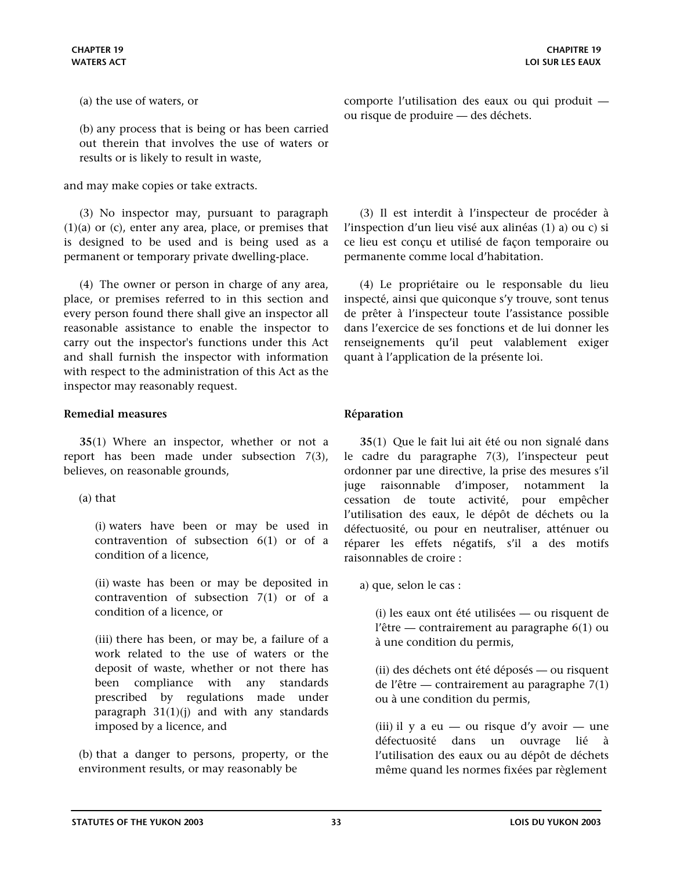<span id="page-32-0"></span>(a) the use of waters, or

(b) any process that is being or has been carried out therein that involves the use of waters or results or is likely to result in waste,

and may make copies or take extracts.

(3) No inspector may, pursuant to paragraph (1)(a) or (c), enter any area, place, or premises that is designed to be used and is being used as a permanent or temporary private dwelling-place.

(4) The owner or person in charge of any area, place, or premises referred to in this section and every person found there shall give an inspector all reasonable assistance to enable the inspector to carry out the inspector's functions under this Act and shall furnish the inspector with information with respect to the administration of this Act as the inspector may reasonably request.

### **Remedial measures Réparation**

**35**(1) Where an inspector, whether or not a report has been made under subsection 7(3), believes, on reasonable grounds,

(a) that

(i) waters have been or may be used in contravention of subsection 6(1) or of a condition of a licence,

(ii) waste has been or may be deposited in contravention of subsection 7(1) or of a condition of a licence, or

(iii) there has been, or may be, a failure of a work related to the use of waters or the deposit of waste, whether or not there has been compliance with any standards prescribed by regulations made under paragraph  $31(1)(j)$  and with any standards imposed by a licence, and

(b) that a danger to persons, property, or the environment results, or may reasonably be

comporte l'utilisation des eaux ou qui produit ou risque de produire — des déchets.

(3) Il est interdit à l'inspecteur de procéder à l'inspection d'un lieu visé aux alinéas (1) a) ou c) si ce lieu est conçu et utilisé de façon temporaire ou permanente comme local d'habitation.

(4) Le propriétaire ou le responsable du lieu inspecté, ainsi que quiconque s'y trouve, sont tenus de prêter à l'inspecteur toute l'assistance possible dans l'exercice de ses fonctions et de lui donner les renseignements qu'il peut valablement exiger quant à l'application de la présente loi.

**35**(1) Que le fait lui ait été ou non signalé dans le cadre du paragraphe 7(3), l'inspecteur peut ordonner par une directive, la prise des mesures s'il juge raisonnable d'imposer, notamment la cessation de toute activité, pour empêcher l'utilisation des eaux, le dépôt de déchets ou la défectuosité, ou pour en neutraliser, atténuer ou réparer les effets négatifs, s'il a des motifs raisonnables de croire :

a) que, selon le cas :

(i) les eaux ont été utilisées — ou risquent de l'être — contrairement au paragraphe 6(1) ou à une condition du permis,

(ii) des déchets ont été déposés — ou risquent de l'être — contrairement au paragraphe 7(1) ou à une condition du permis,

(iii) il y a eu — ou risque d'y avoir — une défectuosité dans un ouvrage lié à l'utilisation des eaux ou au dépôt de déchets même quand les normes fixées par règlement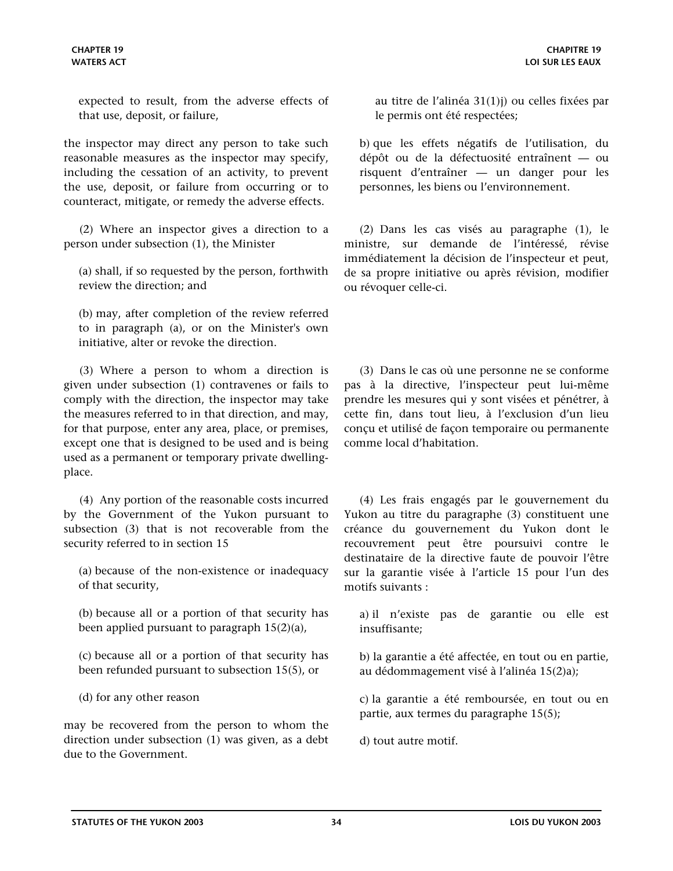expected to result, from the adverse effects of that use, deposit, or failure,

the inspector may direct any person to take such reasonable measures as the inspector may specify, including the cessation of an activity, to prevent the use, deposit, or failure from occurring or to counteract, mitigate, or remedy the adverse effects.

(2) Where an inspector gives a direction to a person under subsection (1), the Minister

(a) shall, if so requested by the person, forthwith review the direction; and

(b) may, after completion of the review referred to in paragraph (a), or on the Minister's own initiative, alter or revoke the direction.

(3) Where a person to whom a direction is given under subsection (1) contravenes or fails to comply with the direction, the inspector may take the measures referred to in that direction, and may, for that purpose, enter any area, place, or premises, except one that is designed to be used and is being used as a permanent or temporary private dwellingplace.

(4) Any portion of the reasonable costs incurred by the Government of the Yukon pursuant to subsection (3) that is not recoverable from the security referred to in section 15

(a) because of the non-existence or inadequacy of that security,

(b) because all or a portion of that security has been applied pursuant to paragraph 15(2)(a),

(c) because all or a portion of that security has been refunded pursuant to subsection 15(5), or

(d) for any other reason

may be recovered from the person to whom the direction under subsection (1) was given, as a debt due to the Government.

au titre de l'alinéa 31(1)j) ou celles fixées par le permis ont été respectées;

b) que les effets négatifs de l'utilisation, du dépôt ou de la défectuosité entraînent — ou risquent d'entraîner — un danger pour les personnes, les biens ou l'environnement.

(2) Dans les cas visés au paragraphe (1), le ministre, sur demande de l'intéressé, révise immédiatement la décision de l'inspecteur et peut, de sa propre initiative ou après révision, modifier ou révoquer celle-ci.

(3) Dans le cas où une personne ne se conforme pas à la directive, l'inspecteur peut lui-même prendre les mesures qui y sont visées et pénétrer, à cette fin, dans tout lieu, à l'exclusion d'un lieu conçu et utilisé de façon temporaire ou permanente comme local d'habitation.

(4) Les frais engagés par le gouvernement du Yukon au titre du paragraphe (3) constituent une créance du gouvernement du Yukon dont le recouvrement peut être poursuivi contre le destinataire de la directive faute de pouvoir l'être sur la garantie visée à l'article 15 pour l'un des motifs suivants :

a) il n'existe pas de garantie ou elle est insuffisante;

b) la garantie a été affectée, en tout ou en partie, au dédommagement visé à l'alinéa 15(2)a);

c) la garantie a été remboursée, en tout ou en partie, aux termes du paragraphe 15(5);

d) tout autre motif.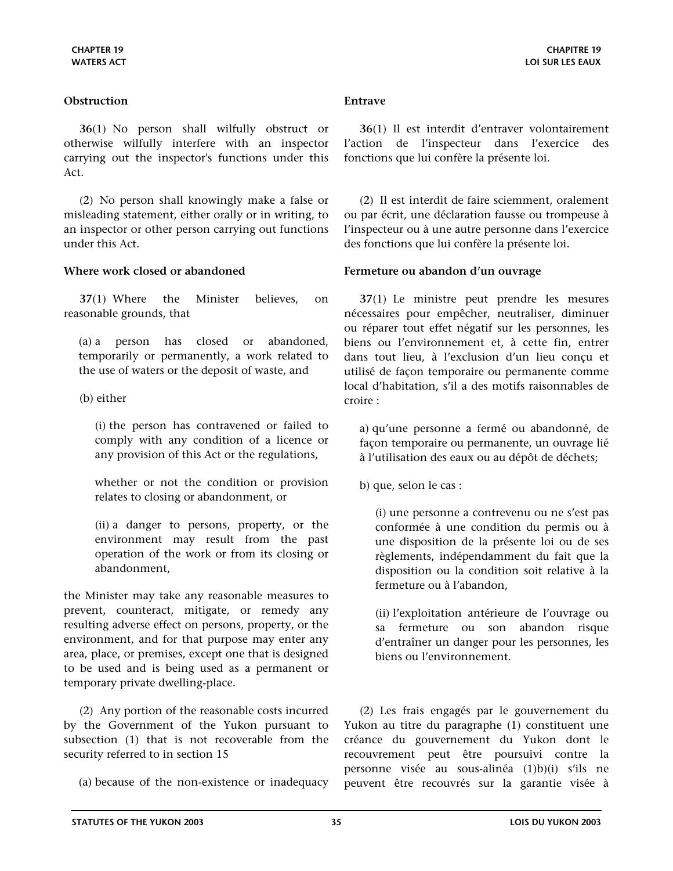### <span id="page-34-0"></span>**Obstruction Entrave**

**36**(1) No person shall wilfully obstruct or otherwise wilfully interfere with an inspector carrying out the inspector's functions under this Act.

(2) No person shall knowingly make a false or misleading statement, either orally or in writing, to an inspector or other person carrying out functions under this Act.

**37**(1) Where the Minister believes, on reasonable grounds, that

(a) a person has closed or abandoned, temporarily or permanently, a work related to the use of waters or the deposit of waste, and

(b) either

(i) the person has contravened or failed to comply with any condition of a licence or any provision of this Act or the regulations,

whether or not the condition or provision relates to closing or abandonment, or

(ii) a danger to persons, property, or the environment may result from the past operation of the work or from its closing or abandonment,

the Minister may take any reasonable measures to prevent, counteract, mitigate, or remedy any resulting adverse effect on persons, property, or the environment, and for that purpose may enter any area, place, or premises, except one that is designed to be used and is being used as a permanent or temporary private dwelling-place.

(2) Any portion of the reasonable costs incurred by the Government of the Yukon pursuant to subsection (1) that is not recoverable from the security referred to in section 15

(a) because of the non-existence or inadequacy

**36**(1) Il est interdit d'entraver volontairement l'action de l'inspecteur dans l'exercice des fonctions que lui confère la présente loi.

(2) Il est interdit de faire sciemment, oralement ou par écrit, une déclaration fausse ou trompeuse à l'inspecteur ou à une autre personne dans l'exercice des fonctions que lui confère la présente loi.

### **Where work closed or abandoned Fermeture ou abandon d'un ouvrage**

**37**(1) Le ministre peut prendre les mesures nécessaires pour empêcher, neutraliser, diminuer ou réparer tout effet négatif sur les personnes, les biens ou l'environnement et, à cette fin, entrer dans tout lieu, à l'exclusion d'un lieu conçu et utilisé de façon temporaire ou permanente comme local d'habitation, s'il a des motifs raisonnables de croire :

a) qu'une personne a fermé ou abandonné, de façon temporaire ou permanente, un ouvrage lié à l'utilisation des eaux ou au dépôt de déchets;

b) que, selon le cas :

(i) une personne a contrevenu ou ne s'est pas conformée à une condition du permis ou à une disposition de la présente loi ou de ses règlements, indépendamment du fait que la disposition ou la condition soit relative à la fermeture ou à l'abandon,

(ii) l'exploitation antérieure de l'ouvrage ou sa fermeture ou son abandon risque d'entraîner un danger pour les personnes, les biens ou l'environnement.

(2) Les frais engagés par le gouvernement du Yukon au titre du paragraphe (1) constituent une créance du gouvernement du Yukon dont le recouvrement peut être poursuivi contre la personne visée au sous-alinéa (1)b)(i) s'ils ne peuvent être recouvrés sur la garantie visée à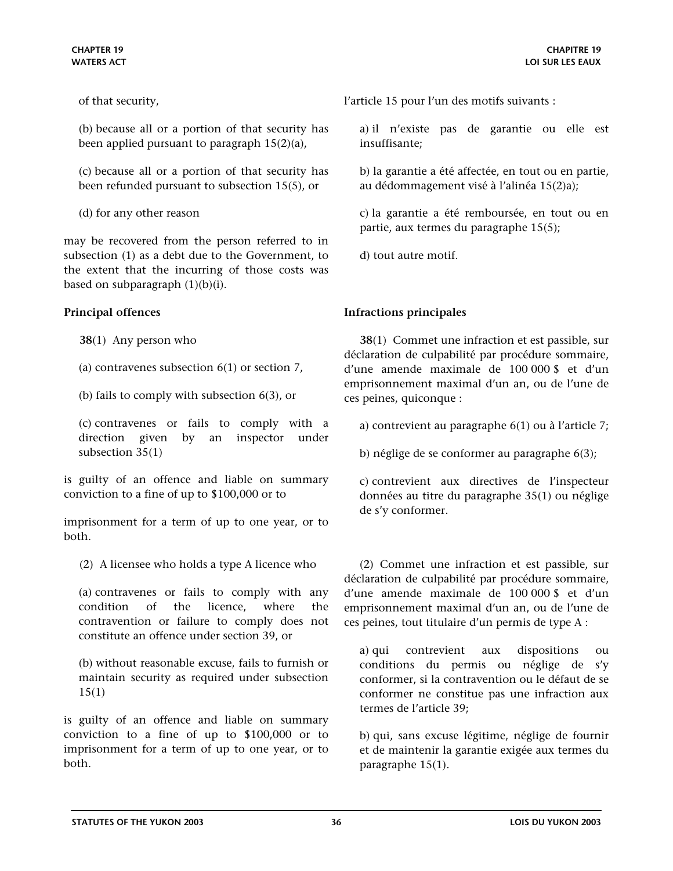<span id="page-35-0"></span>of that security,

(b) because all or a portion of that security has been applied pursuant to paragraph 15(2)(a),

(c) because all or a portion of that security has been refunded pursuant to subsection 15(5), or

(d) for any other reason

may be recovered from the person referred to in subsection (1) as a debt due to the Government, to the extent that the incurring of those costs was based on subparagraph  $(1)(b)(i)$ .

**38**(1) Any person who

(a) contravenes subsection  $6(1)$  or section 7,

(b) fails to comply with subsection 6(3), or

(c) contravenes or fails to comply with a direction given by an inspector under subsection 35(1)

is guilty of an offence and liable on summary conviction to a fine of up to \$100,000 or to

imprisonment for a term of up to one year, or to both.

(2) A licensee who holds a type A licence who

(a) contravenes or fails to comply with any condition of the licence, where the contravention or failure to comply does not constitute an offence under section 39, or

(b) without reasonable excuse, fails to furnish or maintain security as required under subsection 15(1)

is guilty of an offence and liable on summary conviction to a fine of up to \$100,000 or to imprisonment for a term of up to one year, or to both.

l'article 15 pour l'un des motifs suivants :

a) il n'existe pas de garantie ou elle est insuffisante;

b) la garantie a été affectée, en tout ou en partie, au dédommagement visé à l'alinéa 15(2)a);

c) la garantie a été remboursée, en tout ou en partie, aux termes du paragraphe 15(5);

d) tout autre motif.

### **Principal offences Infractions principales**

**38**(1) Commet une infraction et est passible, sur déclaration de culpabilité par procédure sommaire, d'une amende maximale de 100 000 \$ et d'un emprisonnement maximal d'un an, ou de l'une de ces peines, quiconque :

a) contrevient au paragraphe 6(1) ou à l'article 7;

b) néglige de se conformer au paragraphe 6(3);

c) contrevient aux directives de l'inspecteur données au titre du paragraphe 35(1) ou néglige de s'y conformer.

(2) Commet une infraction et est passible, sur déclaration de culpabilité par procédure sommaire, d'une amende maximale de 100 000 \$ et d'un emprisonnement maximal d'un an, ou de l'une de ces peines, tout titulaire d'un permis de type A :

a) qui contrevient aux dispositions ou conditions du permis ou néglige de s'y conformer, si la contravention ou le défaut de se conformer ne constitue pas une infraction aux termes de l'article 39;

b) qui, sans excuse légitime, néglige de fournir et de maintenir la garantie exigée aux termes du paragraphe 15(1).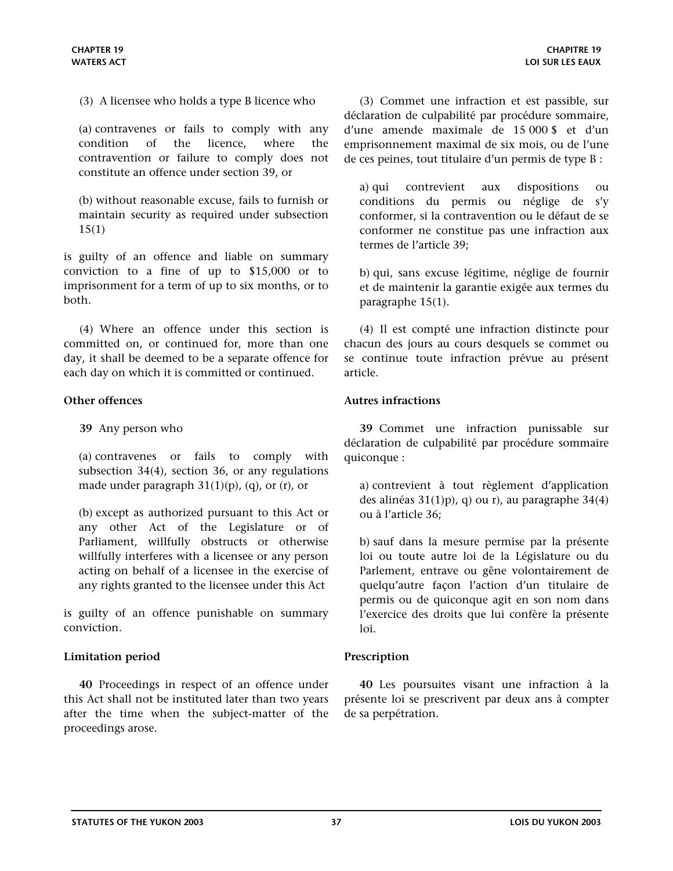<span id="page-36-0"></span>(3) A licensee who holds a type B licence who

(a) contravenes or fails to comply with any condition of the licence, where the contravention or failure to comply does not constitute an offence under section 39, or

(b) without reasonable excuse, fails to furnish or maintain security as required under subsection 15(1)

is guilty of an offence and liable on summary conviction to a fine of up to \$15,000 or to imprisonment for a term of up to six months, or to both.

(4) Where an offence under this section is committed on, or continued for, more than one day, it shall be deemed to be a separate offence for each day on which it is committed or continued.

**39** Any person who

(a) contravenes or fails to comply with subsection 34(4), section 36, or any regulations made under paragraph  $31(1)(p)$ , (q), or (r), or

(b) except as authorized pursuant to this Act or any other Act of the Legislature or of Parliament, willfully obstructs or otherwise willfully interferes with a licensee or any person acting on behalf of a licensee in the exercise of any rights granted to the licensee under this Act

is guilty of an offence punishable on summary conviction.

### **Limitation period Prescription**

**40** Proceedings in respect of an offence under this Act shall not be instituted later than two years after the time when the subject-matter of the proceedings arose.

(3) Commet une infraction et est passible, sur déclaration de culpabilité par procédure sommaire, d'une amende maximale de 15 000 \$ et d'un emprisonnement maximal de six mois, ou de l'une de ces peines, tout titulaire d'un permis de type B :

a) qui contrevient aux dispositions ou conditions du permis ou néglige de s'y conformer, si la contravention ou le défaut de se conformer ne constitue pas une infraction aux termes de l'article 39;

b) qui, sans excuse légitime, néglige de fournir et de maintenir la garantie exigée aux termes du paragraphe 15(1).

(4) Il est compté une infraction distincte pour chacun des jours au cours desquels se commet ou se continue toute infraction prévue au présent article.

### **Other offences Autres infractions**

**39** Commet une infraction punissable sur déclaration de culpabilité par procédure sommaire quiconque :

a) contrevient à tout règlement d'application des alinéas 31(1)p), q) ou r), au paragraphe 34(4) ou à l'article 36;

b) sauf dans la mesure permise par la présente loi ou toute autre loi de la Législature ou du Parlement, entrave ou gêne volontairement de quelqu'autre façon l'action d'un titulaire de permis ou de quiconque agit en son nom dans l'exercice des droits que lui confère la présente loi.

**40** Les poursuites visant une infraction à la présente loi se prescrivent par deux ans à compter de sa perpétration.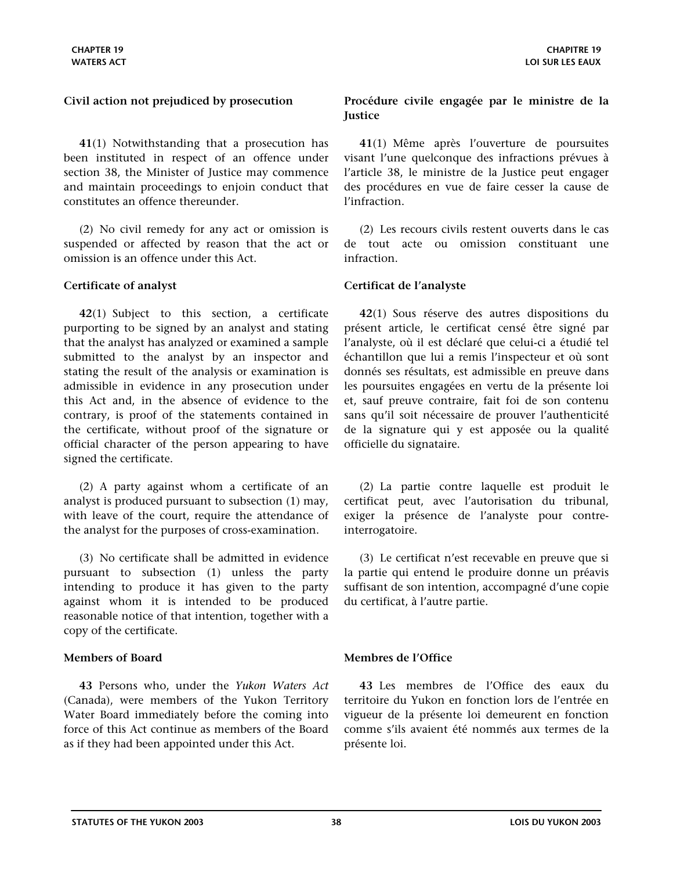**41**(1) Notwithstanding that a prosecution has been instituted in respect of an offence under section 38, the Minister of Justice may commence and maintain proceedings to enjoin conduct that constitutes an offence thereunder.

(2) No civil remedy for any act or omission is suspended or affected by reason that the act or omission is an offence under this Act.

**42**(1) Subject to this section, a certificate purporting to be signed by an analyst and stating that the analyst has analyzed or examined a sample submitted to the analyst by an inspector and stating the result of the analysis or examination is admissible in evidence in any prosecution under this Act and, in the absence of evidence to the contrary, is proof of the statements contained in the certificate, without proof of the signature or official character of the person appearing to have signed the certificate.

(2) A party against whom a certificate of an analyst is produced pursuant to subsection (1) may, with leave of the court, require the attendance of the analyst for the purposes of cross-examination.

(3) No certificate shall be admitted in evidence pursuant to subsection (1) unless the party intending to produce it has given to the party against whom it is intended to be produced reasonable notice of that intention, together with a copy of the certificate.

**43** Persons who, under the *Yukon Waters Act*  (Canada), were members of the Yukon Territory Water Board immediately before the coming into force of this Act continue as members of the Board as if they had been appointed under this Act.

## <span id="page-37-0"></span>**Civil action not prejudiced by prosecution Procédure civile engagée par le ministre de la Justice**

**41**(1) Même après l'ouverture de poursuites visant l'une quelconque des infractions prévues à l'article 38, le ministre de la Justice peut engager des procédures en vue de faire cesser la cause de l'infraction.

(2) Les recours civils restent ouverts dans le cas de tout acte ou omission constituant une infraction.

### **Certificate of analyst Certificat de l'analyste**

**42**(1) Sous réserve des autres dispositions du présent article, le certificat censé être signé par l'analyste, où il est déclaré que celui-ci a étudié tel échantillon que lui a remis l'inspecteur et où sont donnés ses résultats, est admissible en preuve dans les poursuites engagées en vertu de la présente loi et, sauf preuve contraire, fait foi de son contenu sans qu'il soit nécessaire de prouver l'authenticité de la signature qui y est apposée ou la qualité officielle du signataire.

(2) La partie contre laquelle est produit le certificat peut, avec l'autorisation du tribunal, exiger la présence de l'analyste pour contreinterrogatoire.

(3) Le certificat n'est recevable en preuve que si la partie qui entend le produire donne un préavis suffisant de son intention, accompagné d'une copie du certificat, à l'autre partie.

### **Members of Board Membres de l'Office**

**43** Les membres de l'Office des eaux du territoire du Yukon en fonction lors de l'entrée en vigueur de la présente loi demeurent en fonction comme s'ils avaient été nommés aux termes de la présente loi.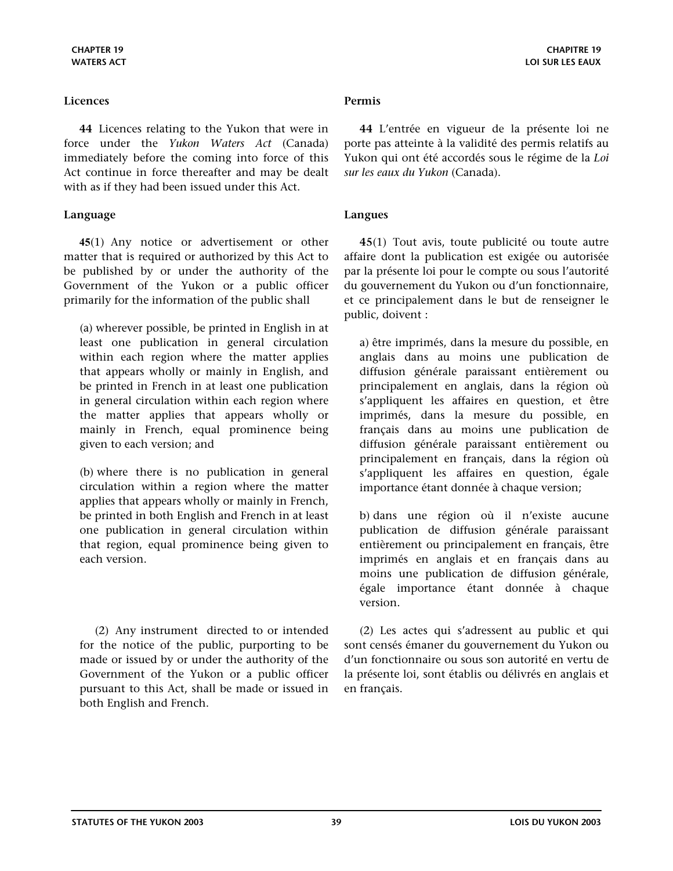<span id="page-38-0"></span>**44** Licences relating to the Yukon that were in force under the *Yukon Waters Act* (Canada) immediately before the coming into force of this Act continue in force thereafter and may be dealt with as if they had been issued under this Act.

# **Language Langues**

**45**(1) Any notice or advertisement or other matter that is required or authorized by this Act to be published by or under the authority of the Government of the Yukon or a public officer primarily for the information of the public shall

(a) wherever possible, be printed in English in at least one publication in general circulation within each region where the matter applies that appears wholly or mainly in English, and be printed in French in at least one publication in general circulation within each region where the matter applies that appears wholly or mainly in French, equal prominence being given to each version; and

(b) where there is no publication in general circulation within a region where the matter applies that appears wholly or mainly in French, be printed in both English and French in at least one publication in general circulation within that region, equal prominence being given to each version.

(2) Any instrument directed to or intended for the notice of the public, purporting to be made or issued by or under the authority of the Government of the Yukon or a public officer pursuant to this Act, shall be made or issued in both English and French.

**44** L'entrée en vigueur de la présente loi ne porte pas atteinte à la validité des permis relatifs au Yukon qui ont été accordés sous le régime de la *Loi sur les eaux du Yukon* (Canada).

**45**(1) Tout avis, toute publicité ou toute autre affaire dont la publication est exigée ou autorisée par la présente loi pour le compte ou sous l'autorité du gouvernement du Yukon ou d'un fonctionnaire, et ce principalement dans le but de renseigner le public, doivent :

a) être imprimés, dans la mesure du possible, en anglais dans au moins une publication de diffusion générale paraissant entièrement ou principalement en anglais, dans la région où s'appliquent les affaires en question, et être imprimés, dans la mesure du possible, en français dans au moins une publication de diffusion générale paraissant entièrement ou principalement en français, dans la région où s'appliquent les affaires en question, égale importance étant donnée à chaque version;

b) dans une région où il n'existe aucune publication de diffusion générale paraissant entièrement ou principalement en français, être imprimés en anglais et en français dans au moins une publication de diffusion générale, égale importance étant donnée à chaque version.

(2) Les actes qui s'adressent au public et qui sont censés émaner du gouvernement du Yukon ou d'un fonctionnaire ou sous son autorité en vertu de la présente loi, sont établis ou délivrés en anglais et en français.